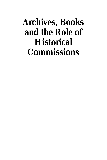# **Archives, Books and the Role of Historical Commissions**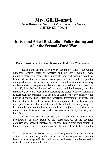# **Mrs. Gill Bennett**

#### CHIEF HISTORIAN, FOREIGN & COMMONWEALTH OFFICE UNITED KINGDOM

### **British and Allied Restitution Policy during and after the Second World War**

Plenary Session on Archives, Books and Historical Commissions

During the Second World War, the major Allies - the United Kingdom, United States of America and the Soviet Union - were naturally more concerned with winning the war and bringing hostilities to an end than they were with forward planning to attempt to repair the damage done by that devastating conflict. Nonetheless, the documentary evidence shows that postwar planning began to take shape as early as 1941-42, long before the end of the war could be foreseen; and that restitution, by which was meant restoring the stolen property belonging to European governments, was seen as an issue with early priority when hostilities ended. The British and American governments, at least, took the view that it should be far easier to reach agreement on restitution than on reparations, and that restitution could be settled at an early stage. It became a bone of contention between all three major Allies, and between them and the European powers who had been occupied by Germany and her allies. $<sup>1</sup>$ </sup>

In Britain, serious consideration of postwar restitution was prompted at an early stage by the representatives of the occupied countries who based themselves in London. Exiled from their countries, their principal concern in anticipating the end of hostilities was the

<sup>1</sup> Cf. *Documents on British Policy Overseas* (hereafter *DBPO*), Series I, Volume V (HMSO, 1990), Preface, p.xiv: 'In practice the problem…caused at least as much damage to British relations with the liberated countries as an other matter in clearing up after the war.*'*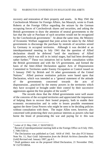recovery and restoration of their property and assets. In May 1941 the Czechoslovak Minister for Foreign Affairs, Jan Masaryk, wrote to Frank Roberts at the Foreign Office regarding the seizure by the German occupying forces of Czechoslovak shares and securities, and asking the British government to draw the attention of neutral governments to the fact that the sale or Purchase of such securities would not be recognized by the Czechoslovak government.<sup>2</sup> At about the same time, the Ministry of Economic Welfare suggested that joint action be taken by the Allied governments to discourage the purchase by neutrals of securities seized by Germany in occupied territories. Although it was decided at an interdepartmental meeting in July 1941 that the question of Allied declaration should be deferred "until the machinery of Allied cooperation, which was still in its initial stages, had had been developed rather further,"<sup>3</sup> These two initiatives led to further consultation within the British government and with the US government, and formed the basis of the Inter-Allied Declaration against Acts of Dispossession Committed in Territories under Enemy Occupation or Control issued on 5 January 1943 by British and 16 other governments of the United Nations.<sup>4</sup> Allied postwar restitution policies were based upon that Declaration, which was intended as a "general statement of the attitude of the governments concerned towards the acts of dispossession…practiced by the enemy powers in the territories which they have occupied or brought under their control by their successive aggressions against the free peoples of the world."<sup>5</sup>

The records show that the Allied governments were well aware of the concerns of the occupied territories and appreciated the importance of helping them to recover their looted property, both to enable their economic reconstruction and in order to lessen possible resentment against the three Great Powers who might be seen to be deciding policies without consultation with them. The major Allies were, however, also concerned with protecting their own postwar interests as powers who had borne the brunt of prosecuting the war and paying for it: this was

 2 Letter of 21 May 1941, C 5610/550/12.

 $3$  Record of interdepartmental meeting held at the Foreign Office on 8 July 1941, C 7081/550/12.

<sup>&</sup>lt;sup>4</sup> The Declaration was published as Cmd. 6418 of 1943. See also FCO history Note No. 11, *Nazi Gold: Information from the British Archives* (hereafter *Nazi Gold*) Revised end. January 1997, pp.4-5.

<sup>&</sup>lt;sup>5</sup> Draft guidance note on the proposed Allied Declaration, 21 November 1942, W 15270/108/64.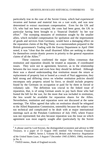particularly true in the case of the Soviet Union, which had experienced invasion and human and material loss on a vast scale, and was now determined to extract maximum compensation. Even for the UK and US, who had not been occupied, the costs had been great, the UK in particular having been brought to a 'financial Dunkirk' by her war effort.<sup>6</sup> The sweeping measures of restitution sought by the smaller allies, which included compensation for spoliation and the impressment of goods and services from Germany, would have a damaging effect on the reparation claims of the Big Three: as a memorandum prepared in the British government's Trading with the Enemy Department in April 1944 noted, it was "clear that the small disarmed Allies are seeking to obtain for themselves certain drastic powers in priority to the general reparation claims of all the Allies."<sup>7</sup>

These concerns confirmed the major Allies consensus that restitution and reparation should, be treated as separate, if coordinated issues. They were not in agreement, however, as to the relationship between the two issues and even how they should be defined. Although there was a shared understanding that restitution meant the return or replacement of property lost or looted as a result of Nazi aggression, they held strong and differing views on whether restitution policies should encompass only property seized by force, or should include property found by the Germans on occupation or paid for by them in forced or voluntary sale. The definition was crucial to the linked issue of reparation, that, is of using German assets to pay back those who had footed the bill for the war, for the more that was included in restitution, the less would be available for reparation shares for the Allies. Nevertheless, restitution and reparation were not discussed at the same meetings. The Allies agreed that talks on restitution should be relegated to the Allied Reparation Commission, ostensibly because the subject was too technical and complicated to be dealt with at major international meetings such as the Potsdam Conference of July 1945, where France was not represented; but also because reparation was the issue on which agreement was most eagerly sought after (particularly by the Soviet

<sup>&</sup>lt;sup>6</sup> A phrase used by Lord Keynes, the distinguished economist and advisor to HM Treasury, in a paper of 13 August 1945 entitled 'Our Overseas Financial

*DBPO*, Series I, Volume III*, Britain and America: Negotiation of the United States Loan, 3 August-7 December 1945* (UMSO, 1986), enclosure in No. 6.

<sup>&</sup>lt;sup>7</sup> TWED memo., Bank of England records.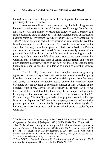Union), and which was thought to be the most politically sensitive and potentially difficult to resolve.

Another complication was presented by the lack of agreement between the Allies on what sort of Germany would emerge from the war, an issue of vital importance to restitution policy. Would Germany be a single economic unit, or divided?<sup>8</sup> An industrialized state, or reduced to pastoral status as envisioned by US Treasury Secretary Morgenthau in 1944?<sup>9</sup> These questions had a direct bearing on what might be available from Germany in terms of restitution. The Soviet Union was clear in the view that Germany must be stripped and de-industrialized, but Britain, and to a lesser degree the United States, was uneasily aware of the potential financial burden that would fall on her in supporting a crippled Germany with no economic life of its own. France was equally clear that Germany must not retain any form of central administration, and with the other occupied countries, wished to get back her looted possessions from Germany as soon as possible, in addition to obtaining essential supplies from her.

The UK, US, France and other occupied countries generally agreed on the desirability of tackling restitution before reparation, partly in order to speed up the movement of essential supplies from Germany, and partly to remove restitutable items before the remainder were calculated for the division of reparation shares: as Mr. Coulson of the Foreign wrote to Mr. Playfair of the Treasury in February 1944, "if we leave restitution until too late, there may be a danger that property belonging to other countries will be handed over as deliveries in kind."<sup>10</sup> French Foreign Minister Georges Bidault, urging the Council of Foreign Ministers in September 1945 towards the speedy adoption of restitution policies, put it even more succinctly, "reparations from Germany should be levied on German property and not on Allied property stolen by the Germans."<sup>11</sup>

<sup>8</sup> On the question of 'one Germany or Two', see *DBPO*, Series I, Volume I, *The Conference at Postdam, July-August 1945* (HMSO, 1984), Nos 153 and 164.

<sup>&</sup>lt;sup>9</sup> For British views on the plan for the pastorialization of Gemany (printed in *Foreign Relations of the United States (FRUS), the Conference at Quebec 1944*, pp. 101 – 5) advanced by Mr. Mongenthau in 1944, sec Sir. L. Underwood, *British Foreign Policy in the Second World* (London, 1970), vol.V., pp. 222-9. <sup>10</sup> Letter of 23 February 1944, U 1322/104/70.

<sup>&</sup>lt;sup>11</sup> See *DBPO*, Series I, Volume II, *Conferences and Conversations 1945: London, Washington and Moscow* (HMSO, 1985), No. 128.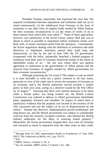President Truman, meanwhile, had expressed the view that "the required coordination between reparations and restitution shall not act to retard unnecessarily (1) the withdrawal from Germany in the form of restitution or any other form of supplies badly needed by Allied Nations for their economic reconstruction or (2) the return of works of art to those nations from which they were taken."<sup>12</sup> None of these approaches, however, was satisfactory to the Soviet Union, whose chief aim was to obtain as much as possible in reparations before restitution claims were dealt with, to ensure maximum profit from the operation. Consequently, the Soviet negotiators dealing with the definition of restitution and draft directives to implement restitution played their hand long and obstructively, so that by the end of June 1945 the US government, exasperated with the delay, unilaterally launched a limited program of restitution from their zone of Germany (restricted mainly to the return of identifiable works of art – the one area where there was general agreement to restitution) to the governments of Allied nations and the removal from Germany of supplies needed by Allied governments for their economic reconstruction.<sup>1</sup>

Although protesting the US action ("This subject is one on which it is most desirable to work out a policy common to all four zones, particular in view of the wider aim to secure the treatment of Germany as an economic unit"), the British authorities moved towards a similar policy in their own zone, acting on a directive issued by the War Office on  $14$  August.<sup>14</sup> Stressing that these were interim measures to be taken while a formal policy was being worked out, the British Control Commission was ordered to deliver to Allied governments identifiable plant, equipment, livestock and valuables "in respect of which there is satisfactory evidence that the property was located in the territory of the Ally concerned and was the subject of an act of dispossessions by the enemy." Despite this directive, implementation proved problematic and long-drawn out, and the British government was subject to considerable criticism from the formerly occupied countries, who blamed the British military authorities for the delay in restoring looted property.<sup>15</sup> Meanwhile, the Soviet government stripped their own zone of Germany and extracted as much in reparation from the other zones as they could.

 $12$  Message from US ARC representative Pauley to Eisenhower, 27 June 1945, *FRUS*, *The Conference at Berlin*, vol. I, pp. 514-15.

<sup>13</sup> *Ibid.*

<sup>14</sup> *DBPO*, Series I, Volume V, No. 6.

<sup>&</sup>lt;sup>15</sup> See, for example, *DBPO*, Series I, Volume I, No., 584.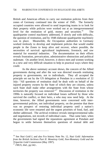British and American efforts to carry out restitution policies from their zones of Germany continued into the winter of 1945. The formerly occupied countries were allowed to send inspecting teams in to look for their property while policies were worked out at an intergovernmental level for the restitution of gold, money and securities.<sup>16</sup> The quadripartite control machinery addressed, if slowly and with difficulty, the question of restitution, and by 1948 elaborate quadripartite machinery was in place. Meanwhile, thc Occupation authorities in Germany worked tirelessly to develop and implement policies that would enable people in the Zones to keep alive and recover, where possible, the necessities of survival: agricultural implements; livestock; and raw material for essential industries. The documentation on their efforts reveals frustration, prevarication, administrative obstruction and political stalemate. On another level, however, it shows men and women working in a new and very difficult situation to help in practical ways where they could.

As the above summary account shows, the concern of the Allied governments during and after the war was directed towards restituting property to governments, not to individuals. They all accepted the principle set out by the US delegation at Potsdam in a resolution of 22 July: "All questions of restitution shall be dealt with on behalf of the injured property owners by the State of which they are citizens, unless such State shall make other arrangements with the State from whose territories the property was removed."<sup>17</sup> Discussion of restitution in the 1990s is naturally focused on individual losses suffered by those who survived the conflict, or their heirs, a who may now need help. At the time, however, the Allied governments were concerned with intergovernmental policies, not individual property, on the premise that there was no prospect of restoring individual property until a nation's economic life were restarted and the urgent priorities of food, fuel, and shelter addressed. The archival evidence reveals intergovernmental talks and negotiations, not records of individual cases. That came later, when the governments had signed the reparations agreement at Potsdam and begun to settle between themselves questions of mutual debt and

<sup>16</sup> See *Nazi Gold I*, and also Fco history Note No. 12, *Nazi Gold: Information from the British Archives Part II: Monetray Gold, Non-Monetary Gold and the Tripartite Gold Commission* (May 1997).

<sup>17</sup> *FRUS, ibid*., pp.542-.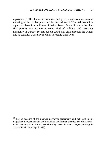repayment.<sup>18</sup> This focus did not mean that governments were unaware or uncaring of the terrible price that the Second World War had exacted on a personal level from millions of their citizens. But it did mean that their first priority was to restore some kind of political and economic normality in Europe, so that people could stay alive through the winter, and re-establish a base from which to rebuild their lives.

<sup>&</sup>lt;sup>18</sup> For an account of the postwar payments agreements and debt settlements negotiated between Britain and her Allies and former enemies, see the Anneses to FCO History Note No. 13, *British Policy Towards Enemy Property during the Second World War* (April 1998).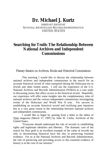# **Dr. Michael J. Kurtz**

ASSISTANT ARCHIVIST NATIONAL ARCHIVES AND RECORDS ADMINISTRATION UNITED STATES

### **Searching for Truth: The Relationship Between National Archives and Independent Commissions**

Plenary Session on Archives, Books and Historical Commissions

This morning I would like to discuss the relationship between national archives and independent commissions in the search for an accurate historical record of what transpired during the Holocaust-era to Jewish and other looted assets. I will use the experience of the U.S. National Archives and Records Administration (NARA) as a case study in discussing issues that affect access to the historical record. Hopefully, our experience will offer some insights into the complementary roles of national archives and the various independent commissions investigating events of the Holocaust and World War II eras. For success in establishing an accurate historical record and rectifying past injustices lies to a very great extent in the relationship between national archives and independent commissions.

I would like to begin by quoting from a letter to the editor of Time magazine (March 17, 1997) by John W. Carlin, Archivist of the United States.

"Everyone should understand the role of records in establishing rights and legitimate identities and liberties. The dramatic case of the search for Nazi gold is an excellent example of the value of records not only in documenting historical facts but also in preserving essential evidence. For us at the National Archives and Records Administration, the role of preserving and providing access to this essential evidence of history is at the core of our mission."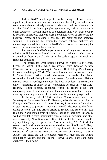Indeed, NARA's holdings of records relating to all looted assets - gold, art, insurance, dormant accounts - and the ability to make those records available in a timely manner has demonstrated the value not only for the United States but to peoples, governments, and organizations in other countries. Though methods of operations may vary from country to country, all national archives share a common vision of preserving the historical record and making it available for historical and objective scrutiny. In pursuing this vision the various national archives and nations represented here share in NARA's experience of assisting the search for truth even in other countries.

Let me share NARA's experience in providing access to records relating to Holocaust-era looted assets; and something of what can be expected by those national archives in the early stages of research and reference activities.

The search for what became known as "Nazi Gold" records began in March 1996, when researchers from Senator Alfonse D'Amato's office began coming to Archives II at College Park looking for records relating to World War II-era dormant bank accounts of Jews in Swiss banks. Within weeks the research expanded into issues surrounding looted Nazi gold and other assets. By midsummer 1996, the research room at College Park was the host to at least 15 researchers daily - sometimes as many as 25 - conducting research in "Nazi Gold" records. These records, contained within 30 record groups and comprising some 15 million pages of documentation, were like a magnet, drawing increasing numbers of researchers as the summer progressed.

In the early fall of 1996, President Clinton asked then Under Secretary of Commerce Stuart E. Eizenstat, who also served as Special Envoy of the Department of State on Property Restitution in Central and Eastern Europe, to prepare a report that would "describe, to the fullest extent possible, U.S. and Allied efforts to recover and restore this gold [gold the Nazis looted from the central banks of occupied Europe, as well as gold taken from individual victims of Nazi persecution] and other assets stolen by Nazi Germany." Eizenstat, in October, formed an 11 agency Interagency Group on Nazi Assets, including NARA, to do the research and produce the report, under the direction of William Z. Slany, Historian, Department of State. Slany formed his research team, consisting of researchers from the Departments of Defense, Treasury, Justice, and State, the U.S. Holocaust Memorial Museum, the Central Intelligence Agency, and the Federal Reserve Board. They soon made Archives II their home.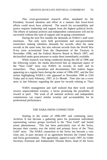This cross-government research effort, mandated by the President, focused attention and effort in a manner that lower-level efforts could never have achieved. The search for accountability and justice requires leadership and support from the highest political levels. The efforts of national archives and independent commissions will not be successful without this type of support and on-going commitment.

During the next five months the demands on NARA's staff were enormous. Not only were both government and non-government researchers making relentless demands for records, often the same records at the same time, but also relevant records from the World War II-era were accessioned from the Department of the Treasury in November 1996, and the Federal Reserve Board in March 1997, and declassified under great pressure to make them immediately available.

While research was being conducted during the fall of 1996 and the following winter, the media discovered that an important aspect of the "Nazi Gold" story was NARA: its records, its staff, and its researchers. Thus, journalists and documentary film makers began appearing on a regular basis during the winter of 1996-1997, and the first stories highlighting NARA's role appeared in November 1996 in *USA Today* and in early February, 1997, in *Le Monde*. *Time* also ran a cover story in late February regarding the quest for records relating to "Nazi

NARA management and staff realized that their work would receive unprecedented scrutiny, a factor promising the possibility of reward or peril. The work of all national archives and independent commissions can expect similar scrutiny and accountability for its professional performance.

#### THE NARA-SWISS CONNECTION

Starting in the winter of 1996-1997 and continuing since, Archives II has become a gathering place for prominent individuals representing various groups involved in the "Nazi Gold" and looted assets phenomenon. This has been particularly true of the Swiss, because their country was the initial and primary focus of the "Nazi Gold" story. The NARA connection to the Swiss has become a very close one, in part, because of an agreement between the United States and Swiss governments. This agreement, signed in early 1997, by Under Secretary Eizenstat and Ambassador Thomas Borer, head of the Swiss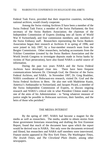Federal Task Force, provided that their respective countries, including national archives, would closely cooperate.

Among the Swiss visiting Archives II have been a member of the Swiss Federal Task Force; a member of the Swiss Parliament; the first secretary of the Swiss Bankers Association; the chairman of the Independent Commission of Experts (looking into all facets of World War II Switzerland), and four commission members; and, members of the Swiss Embassy staff. Researchers representing the Swiss Bankers Association began their research at Archives II in spring of 1996, and were joined in July 1997, by a four-member research team from the Bergier Commission. Other researchers, including accountants from the Volcker Committee (created by the Swiss Bankers Association and the World Jewish Congress to investigate deposits made in Swiss banks by victims of Nazi persecution), have also found NARA a useful source of information.

During the past two years NARA and the Swiss Federal Archives have developed close ties. There have been frequent communications between Dr. Christoph Graf, the Director of the Swiss Federal Archives, and NARA. In November 1997, Dr. Greg Bradsher, NARA coordinator of Holocaust-era research, visited Dr. Graf and the Swiss Federal Archives in Bern. He also met with Madeleine Kunin, America's Ambassador to Switzerland, and Jacques Picard, a member of the Swiss Independent Commission of Experts, to discuss ongoing research and NARA's critical role in what President Clinton stated was one of the aims of his Administration - to "bring whatever measure of justice might be possible to Holocaust survivors, their families, and the heirs of those who perished."

#### THE MEDIA INTEREST

By the spring of 1997, NARA had become a magnet for the media as well as researchers. The media, unable to obtain stories from those government historians researching and drafting the first Eizenstat Report, found that much of the document base upon which the report would be derived was in NARA. Not only were the documents reviewed and filmed, but researchers and NARA staff members were interviewed. Feature stories appeared in *The New York Times*, *The Washington Times, The Jewish Times*, and *The Cleveland Plain Deale*r, among other newspapers.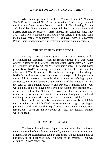Also, major periodicals such as *Newsweek* and *US News & World Report* contacted NARA for information. The History Channel, the Arts and Entertainment Network, the Public Broadcasting System, and the Cable News Network ran specials based on interviews with NARA staff and researchers. Press interest has continued since May 1997. ABC News, Dateline NBC and a wide variety of print and visual media have regularly contacted NARA, as have Swiss TV, Swedish Public Radio, and numerous film makers, newspapers and magazines.

#### THE FIRST EIZENSTAT REPORT

On May 7, 1997, the Interagency Group on Nazi Assets, headed by Ambassador Eizenstat, issued its report entitled *U.S. and Allied Efforts To Recover and Restore Gold and Other Assets Stolen or Hidden by Germany During World War II: Preliminary Study.* The report, based primarily on NARA's holdings, was quite critical of the Swiss and the other World War II neutrals. The author of the report acknowledged NARA's contributions to the completion of the report. In his preface he wrote "All of the research depended directly upon the unfailing support, assistance, and encouragement of the Archivist of the United States and the staff of the National Archives and Records Administration. Our work simply could not have been carried out without this assistance... It is to the credit of the National Archives staff that the needs of all researchers-government and private, domestic and foreign-were met with unfailing courtesy and without disruption to research schedules."

My point in quoting this complimentary statement is to highlight the key points on which NARA's performance was judged; opening all pertinent records and providing equal access, in a timely manner, to all researchers. These are the key points on which any national archives will be judged.

#### SPECIAL FINDING AIDS

The issue of equal access depends on the researchers' ability to navigate through often voluminous records, many untouched for decades. Finding aids are indispensable tools in this effort. If such finding aids do not exist, in all likelihood they will need to be created. This was certainly NARA's experience.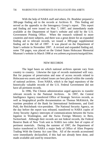With the help of NARA staff and others, Dr. Bradsher prepared a 300-page finding aid to the records at Archives II. This finding aid served as the appendix to the Interagency Group's report. This report and finding aid were issued on May 7, 1997, and immediately made available at the Department of State's website and sold by the U.S. Government Printing Office. When the research widened to more countries and more subjects, and there was a great desire for an expanded finding aid to relevant records, we issued a 300-page supplemental finding aid in the fall of 1997. It was placed on the Department of State's website in November 1997. A revised and expanded finding aid, some 750 pages, was placed on the United States Holocaust Memorial Museum's website in March 1998 at *ww.ushmm.org/assets/nazigold.htm*.

#### NEW RECORDS

The legal bases on which national archives operate vary from country to country. Likewise the type of records maintained will vary. But for purpose of preservation and ease of access records related to Holocaust-era assets and related issues are best placed within the custody of national archives. Even NARA, which is the legal repository of the historically valuable records of the U.S. Federal Government did not have all pertinent records.

In 1996, The Clinton administration urged agencies to transfer relevant records to the National Archives. In 1997, the Central Intelligence Agency transferred Office of Strategic Services records, as well as biographical profile documentation on Thomas McKittrick, the wartime president of the Bank for International Settlements, and Emil Puhl, the Reichsbank vice-president. The National Security Agency, on the day before the report was released, transferred to NARA copies of Army Security Agency intercepts of communications between the Swiss legation in Washington, and the Swiss Foreign Ministry in Bern, Switzerland. Although their records are not federal records, the Federal Reserve Bank of New York sent to NARA two cubic feet of copies of pertinent materials. During the summer of 1997, the Department of Justice transferred to NARA a major body of Office of Alien Property Trading With the Enemy Act case files. All of the records accessioned were immediately declassified, if this had not already been done, and made available and used by researchers.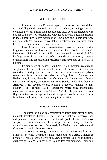#### MORE RESEARCHERS

In the wake of the Eizenstat report, more researchers found their way to College Park. Not only were the researchers, including claimants, continuing to seek information about looted Nazi gold and related topics, but the boundaries of research had widened to include questions relating to looted securities, looted works of art, unclaimed and unpaid insurance policies, refugee policies, slave labor practices, and wartime trade between the neutrals and the Axis powers.

Law firms and other research teams involved in class action litigation relating to dormant accounts in Swiss banks and unpaid insurance policies of victims of Nazi persecution have found NARA's holdings critical to their research. Jewish organizations, banking organizations, and art restitution research teams have also used NARA's holdings.

Foreign researchers have found NARA an important resource to supplement the information available in the archival records in their own countries. During the past year there have been dozens of private researchers from various countries, including Austria, Sweden, the Netherlands, France, Great Britain, Germany, and Switzerland. During the summer of 1997, six researchers from Sweden made their home at Archives II for several weeks, looking at records relating to their country. In February 1998, researchers representing independent commissions from Spain, Portugal, and Argentina began their research. Representatives of foreign banks and foreign archivists, including those from Israel and Sweden have also sought information.

#### LEGISLATIVE INTEREST

The quest for historical accountability draws great attention from national legislative bodies. The work of national archives and independent commissions need sustained political and legislative support. The transparency of the work performed is a key element for obtaining sustained support. Fortunately for NARA our experience with Congress to date has been successful.

The Senate Banking Committee and the House Banking and Financial Services Committee have made use of NARA's holdings. Senator D'Amato, appreciative of NARA's efforts, said, "The National Archives at College Park has been nothing less that amazing...Their help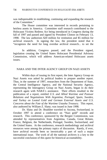was indispensable in establishing, continuing and expanding the research of the Committee."

The House committee was interested in records pertaining to heirless assets in America. Committee staff research contributed to the Holocaust Victims Redress Act being introduced in Congress during the fall of 1997 and passed and signed by President Clinton on February 13, 1998. The law authorizes \$20 million for restitution and \$5 million for archival research. In signing the law, the president noted that it "recognizes the need for long overdue archival research... to set the

In addition, Congress passed, and the President signed, legislation creating the United States Holocaust Presidential Advisory Commission, which will address American-related Holocaust assets issues.

#### NARA AND THE INTER AGENCY GROUP ON NAZI ASSETS

Within days of issuing its first report, the Inter Agency Group on Nazi Assets was asked by political leaders to prepare another report. Thus, in the summer of 1997, researchers from the Department of State, the Central Intelligence Agency, and the National Security Agency, representing the Interagency Group on Nazi Assets, began to do their research again with NARA's assistance. Their efforts resulted in the publication of a report, entitled *U.S. and Allied Wartime and Postwar Relations and Negotiations With Argentina, Portugal, Spain, Sweden, and Turkey on Looted Gold and German External Assets and U.S. Concerns about the Fate of the Wartime Ustasha Treasury*. This report, also authored by William Z. Slany; was issued in June 1998.

Dr. Slany and Dr. Bradsher traveled to Ascona, Switzerland, in October 1997 to attend a conference on "Nazi gold" records and research. This conference, sponsored by the Bergier Commission, was attended by representatives from Argentina, Canada, Great Britain, France, Belgium, the Netherlands, Portugal, Sweden, Switzerland, and the United States. At the conference, research methodology and archival resources were among the primary topics of discussion. Rarely, if ever, have archival records been so inextricably a part of such a major international issue. The work of all the national archives is a key to the successful conclusion of this quest for historical accountability.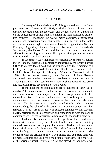#### THE FUTURE

Secretary of State Madeleine K. Albright, speaking to the Swiss parliament on November 15, 1997, said that "doing all we can to discover the truth about the Holocaust and events related to it, and to act on the consequence of that truth, are among the vital unfinished tasks of this century." Throughout the world, many countries, organizations, groups, and individuals share this belief. Thus, interest in the looted assets issue remains high. Commissions have been appointed in Sweden, Portugal, Argentina, France, Belgium, Norway, the Netherlands, Switzerland, the United States, and half a dozen other countries to address issues relating to victims of Nazi persecution, postwar restitution efforts, and dormant bank accounts.

In December 1997, hundreds of representatives from 41 nations met in London, England at a conference sponsored by the British Foreign Office to discuss looted gold and the disposition of the remaining gold held by the Tripartite Gold Commission. Small conferences were also held in Lisbon, Portugal, in February 1998 and in Monaco in March 1998. At the London meeting, Under Secretary of State Eizenstat announced that another international conference would be held in Washington, DC. This conference is now pushing forward into assets and restitution issues beyond that of "Nazi Gold."

If the independent commissions are to succeed in their task of clarifying the historical record and assist with the issues of accountability and compensation, they require the closest cooperation with their national archives. The national archives need to bring all relevant documentation into their custody, preserve them, and provide equal access. This is necessarily a symbiotic relationship which requires understanding the roles of each partner and providing support for their respective tasks. Both parties will succeed together or fail together. NARA certainly faces this challenge and responsibility with the soon to commence work of the American Commission of independent experts.

Undoubtedly, interest in and all aspects of the looted assets issues will continue for years, if not decades, and just as certainly archival research will accompany that interest. NARA will continue to be a critical resource for those doing "Nazi Gold" research, for contained in its holdings is what the Archivist terms "essential evidence." This evidence, with the assistance of NARA's skilled and dedicated staff, will be made available and used for a multitude of purposes. The end result of the various research efforts at NARA and elsewhere, one hopes, will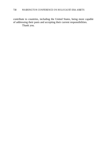contribute to countries, including the United States, being more capable of addressing their pasts and accepting their current responsibilities. Thank you.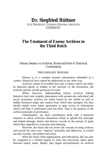# **Dr. Siegfried Büttner**

VICE PRESIDENT, GERMAN FEDERAL ARCHIVES GERMANY

### **The Treatment of Enemy Archives in the Third Reich**

#### Plenary Session on Archives, Books and Role of Historical **Commissions**

#### PRELIMINARY REMARK

History is, in a complex manner, information embedded in a context. Historical facts cannot be understood in any other way.

Archives consist of recorded facts and a context which can either be depicted openly or hidden in the structure of the documents, the archives and the overall portrayal of events.

While, however, understanding history involves linking historical facts and complex phenomena with present-day individual and social awareness, archives are solely bound by the visible as well as hidden historical origin and context from which they emerged. For they should enable every future generation to gain access to information which will help it understand what has been. That is the purpose of the archival principle of provenance.

Unfortunately, my short contribution deals with a historical situation in which archivists themselves failed to uphold this principle and helped damage, distort and destroy records in the pursuit of goals which they regarded as victorious and enduring.

However, the Nazis did not invent the concept of using archives and records for one's own "superior" principles and objectives. It existed up until recently, and indeed still exists.

What the Nazis, both organizations and individuals, did can only be compared to a limited degree to what had previously taken place between enemy states. Rather, they began encroachments on archival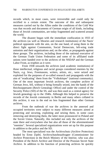records which, in most cases, were irreversible and could only be rectified to a certain extent. The outcome of this and subsequent measures carried out by the Allies under the conditions of the Cold War was that records and documents of German origin of all kinds, including those of Jewish communities, are today fragmented and scattered around the world.

The disaster began with the immediate confiscation in 1933 of the archives (as well as libraries and research institutions) of the Nazis' political opponents with the aim, on the one hand, of using them in the direct fight against Communists, Social Democrats, left-wing trade unionists and their organizations and, on the other, as propaganda against these groups. The archives, including those of the national executive of the German Trade Union Federation and some of its affiliated trade unions were handed over to the archives of the NSDAP and the German Labor Front, as trophies as it were.

From 1938 onwards the archives (and academic institutions) of those intellectual, religious and racial groups considered enemies by the Nazis, e.g. Jews, Freemasons, writers, artists, etc., were seized and exploited for the purposes of so-called research and propaganda with the aim of "eradicating" them from the "Volkskörper" (national community). One of the most important Jewish archives, the complete archive of German Jews, fell, without it being formally seized, into the hands of the Reichssippenamt (Reich Genealogy Office) and under the control of the Security Police (SD) of the SS, and was then used as a central agency for Jewish genealogy up to the 1940s. Although this helped to preserve the records of the Jewish community in Berlin and many others collated in this archive, it was in the end no less fragmented than other German archives.

From the outbreak of war the archives in the annexed and occupied territories were subject to many different measures aimed at protecting and securing, exploiting and seizing them, in some cases removing and destroying them, the latter most pronounced in Poland and the Soviet Union. Naturally, this included not only the archives of the state there and everywhere else but also all those of the aforementioned "enemies". Several specialized organizations were set up for this purpose in addition to the police and the SD.

The most specialized was the Archivschutz (Archive Protection) headed by Ernst Zipfel, Archivschutzbeauftragter (Commissioner for Archive Protection) in the Reich Ministry of the Interior, who was also President of the Reich Archive and Director of the Prussian Secret State Archive. In addition to his function of protecting archives he quickly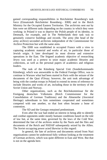gained corresponding responsibilities in Reichsleiter Rosenberg's task force (Einsatzstab Reichsleiter Rosenberg - ERR) and in the Reich Ministry for the Occupied Eastern Territories. The archivists sent out by him were set different tasks depending on the country in which they were working: in Poland it was to deprive the Polish people of its identity, in Denmark, for example, and in The Netherlands their task was to genuinely conserve buildings and records. The army (the head of the army archive) seconded archivists independent of the Commissioner for Archive Protection but with the same aims.

The ERR was established in occupied France with a view to capturing academic material and works of art, in particular those of Jewish origin. It later developed its most diverse and extensive operations in the East. The feigned academic objective of researching Jewry was used as a pretext to seize major academic libraries and collections, as well as the personal papers of academics and religious leaders.

The task of the Künsberg Special Unit (Sonderkommando Künsberg), which was answerable to the Federal Foreign Office, was to continue in Warsaw what had been started in Paris with the seizure of the documents of the Quai d'Orsay; however, the unit took advantage of being with the combat troops in Poland to extend its terms of reference to include libraries and works of art, including those in the territory of the Soviet Union and Norway.

Other organizations, such as the Reichskommissar für die Festigung deutschen Volkstums (Reich Commissioner for the Consolidation of German Traditions) and the Ahnenerbe (Ancestral Heritage) subordinate to him sometimes cooperated and sometimes competed with one another, so that loot often became a bone of contention.

The SD and the Gestapo remained predominant.

Even after the war had ended an interest in being able to identify and combat opponents under mostly humane conditions based on the rule of law but, at the same time, governed by the laws of the Cold War, determined the fate of the archives stolen by the Nazis and the files and documents of the Reich and NSDAP subsequently seized by the Allies. The Soviet occupying power acted likewise in this regard:

In general, the fate of archives and documents seized from Nazi organizations cannot be understood fully without looking at the treatment of German archives, which was quite different in East and West. But that is not on the agenda here.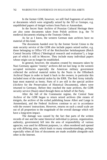In the former GDR, however, we still find fragments of archives or documents which were originally seized by the SD or Gestapo, e.g. unpublished papers of émigré writers from Paris or Amsterdam.

In the Secret State Archive of Prussian Cultural Heritage there are also some documents taken from Polish archives (e.g. the 74 medieval documents relating to the Teutonic Order).

As far as I know, the western German state archives have no material of this kind.

The documents handed over by the former Soviet Union to the state security service of the GDR also include papers seized earlier, e.g. those belonging to Office VII of the Reichssicher heitshauptamt (Reich Central Security Office) ("Ideological research and evaluation"), a large part of which is still in Moscow. They include many individual papers whose origin can no longer be established.

In general, however, the situation created by measures taken by Nazi Germany against "enemy" archives did not last long: in the western occupied territories especially the American military government collected the archival material stolen by the Nazis in the Offenbach Archival Depot in order to hand it back to the owners; in particular this included most of the material stolen by the ERR. The Red Army initially kept most material as booty. Parts of it are still in the special archive (Archive for the Preservation of Historical Documents), others were returned to Germany. Before they reached the state archives, the GDR security service (Stasi) raked through them on behalf of the Party.

After the fall of the Communist regime, the Central State Archive of the GDR began to return seized archives (the estates of émigrés, the archive of the exiled publishing house Allert and Lange in Amsterdam), and the Federal Archives continue to act in accordance with the owners' instructions. However, returns on such a small scale are out of all proportion to the magnitude of the overall damage which will have a long-term impact.

The damage was caused by the fact that parts of the written records of one and the same historical individual (a person, organization, authority, government) fell into the area of responsibility of various agencies, was used for different purposes, i.e. often reordered and opened up with differing aims, which leads to many misunderstandings, perhaps especially when all lists of documents are made available alongside each other in the Internet.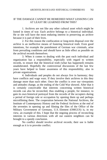#### IF THE DAMAGE CANNOT BE REMEDIED WHAT LESSONS CAN AT LEAST BE LEARNED FROM THIS?

1. Archives are not like any other cultural asset which might be looted in times of war. Each archive belongs to a historical individual. He or she will have the most enduring interest in preserving an archive because it is part of their lives.

2. For this reason the confiscation or long-term disposal over the archive is an ineffective means of fostering historical truth. Even good intentions, for example the punishment of German war criminals, arise from prevailing conditions and should have as little effect as possible on the archival records themselves.

3. When it comes to dealing with the past each individual and organization has a responsibility, especially with regard to written records, to ensure that the historical truth (what has happened) remains unadulterated. Hopefully the controversial discussions of the last few years have helped to foster awareness of this responsibility, also in private organizations.

4. Individuals and peoples do not always live in harmony; they have conflicts and wage wars. If they involve their archives in this they damage more than each other. Once the conflict is over our viewpoints and attitudes change, as the ending of the Cold War showed. After that it is certainly conceivable that interests concerning written historical records can also be reconciled, thus enabling a people, for instance, to gain its own historical portrayal from the records of the occupiers during a period of foreign rule or occupation by opening them up and perhaps microfilming them. The cooperation between the National Archives, the Institute of Contemporary History and the Federal Archives at the end of the seventies in opening up and filming the files of the Office of the Military Government of Germany, U.S. Element (OMGUS) is, in my view, an example of this. I hope that the ongoing process of reconciling interests in various directions with all our eastern neighbors can be brought to a speedy conclusion.

No conflict should involve archival records; their use is liable enough as it is to provoke conflict.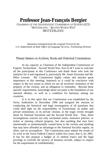## **Professor Jean-François Bergier**

CHAIRMAN OF THE INDEPENDENT COMMISSION OF EXPERTS (ICE) "SWITZERLAND – SECOND WORLD WAR" SWITZERLAND

*Statement translated from the original French by the U.S. Department of State Office of Language Services, Translating Division*

#### Plenary Session on Archives, Books and Historical Commissions

In my capacity as Chairman of the Independent Commission of Experts: Switzerland – Second World War, first of all I want to welcome all the participants at this Conference and thank those who took the initiative for it and organized it, particularly Mr. Stuart Eizenstat and Mr. Miles Lerman. My Commission highly values and attaches great importance to this meeting, inasmuch as it could be conclusive with respect to the two issues in which we are all involved: restitution of the property of the victims, and an obligation to remember. Beyond these specific requirements, knowledge about our pasts is the foundation of our national identity, as well as a condition for harmony among our countries.

It is in this spirit that our Commission was established by the Swiss Authorities in December 1996 and assigned the mission of conducting the historical and legal investigation of all questions that could shed light on the responsibility of Switzerland, its public and private institutions, or its private citizens, in the tragic events brought about by National Socialism and the Second World War. Thus, these investigations concern not only unclaimed assets, insurance policies, or stolen or missing cultural property, but also anything that may have intentionally or unintentionally caused harm to the victims and anything that may have afforded an advantage to the National Socialist regime, its allies, and its accomplices. The Commission must submit the results of its work to the Swiss Federal Council within five years, that is, by 2001. It has for this purpose a budget of 22 million francs and the legal privilege to override the secrecy of business records, subject to respect for the requirement of confidentiality.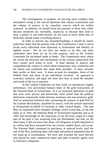The investigations in progress are proving more complex than anticipated owing to the myriad questions that require examination and the volume of sources to be consulted, sources which are widely scattered. In addition, we should resist the pressure of those who, either because memories are, inevitably, imprecise, or because they wish to draw a partial or one-sided picture, do not want to know about this, or think they already know everything about it.

In order to prevent any misunderstandings, it should be clearly noted here today that the primary task of the Commission I chair is not to locate every individual asset deposited in Switzerland and identify its rightful owner. We do not have the means to do this, and other institutions have been set up for this purpose, such as the Volcker Committee for unclaimed funds in banks. The Commission must, above all, reveal the networks and mechanisms of the various transactions that have caused such assets to exist. It must attempt to analyze and comprehend the context in which these transactions were conducted and the means and conditions that made them possible. It must calculate their profits or their costs. It must account for strategies, those of the Federal State and those of the individuals involved. Its approach is economic, political, and legal, but must also bear in mind the attitudes and trends of the era in question.

At the London Conference on Nazi Gold, we introduced a highly preliminary, very provisional balance sheet of the gold transactions of the National Bank of Switzerland. In it we proposed definitions of gold that were more precise and historically more useful than the political distinction customarily made between monetary and non-monetary gold. And we presented statistical data contrasting the amount of gold held by the German Reichsbank, classified by source, with the amount deposited in Switzerland on behalf of Germany or other Central Banks. This past May we submitted more complete findings, which reveal that, on the one hand, as of 1941, the National Bank of Switzerland suspected, and as of 1943, had knowledge of, the suspicious, to say the least, origin of a large part of the gold it was acquiring from the Reichsbank, but that, on the other hand, it did not know that about 120 kilograms of gold deposited in its coffers had been extracted from the victims, melted down, and recast. The National Bank continued its purchases, at reduced levels, until the end of the War, justifying them with legal and political arguments that do not stand up to examination. We have also revealed the more discreet role played by some commercial banks and other economic agents such as insurance companies.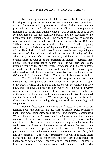Next year, probably in the fall, we will publish a new report focusing on refugees. A document was made available to all participants at this Conference which presents an outline of this report and the principal questions it will seek to answer. It will put the Swiss policy on refugees back in the international context; it will examine the good or not so good reasons for this restrictive policy and the reactions of the population; it will attempt, despite the shortage of sources, to count the refugees admitted or turned away at various times between 1933 and 1945, at various segments of a border that was, as of 1940, completely controlled by the Axis and, as of September 1943, exclusively by agents of the Third Reich. It will describe the material and psychological conditions of the refugees and will assess the financing of their admission (approximately 100,000 civilians) and the action of the Jewish organizations, as well as of the charitable institutions, churches, labor unions, etc., that were active in this field. It will also address the infamous issue of the "J," the Evian Conference of 1938, the ransoms demanded for the safety of certain people, and the role of those figures who dared to break the law in order to save lives, such as Police Officer Grüninger in St. Gallen in 1938 and Consul Lutz in Budapest in 1944.

The Commission is not yet ready to present here today the results of its investigations on stolen or lost cultural property. A report of the Federal Office of Culture on this subject will be published in a few days, and will serve as a basis for our own work. This work, however, can be fully accomplished only in close cooperation with the authorities of the other countries, since in this area, international networks operated, and the links must be traced. We are expecting a great deal from this Conference in terms of laying the groundwork for managing such cooperation.

Beyond these issues, our efforts are directed essentially toward learning about the behavior and activities of private Swiss companies: banks, insurance companies, business firms, and industrial corporations. We are looking at the "repossession", in Germany and the occupied countries, of Jewish-owned businesses and real estate (Aryanization), the use of forced labor, the export of weapons or any other hardware that could have contributed to the war effort of either the Germans or the Allies, movements of capital, sales of licenses, etc. From another perspective, we must take into account the Swiss need for supplies, fuel, and raw materials. Under the circumstances in which it found itself, Switzerland had to make concessions to both sides but especially to Germany, of which it was – geographically – the hostage. The issue is how much room Swiss economic policy had to maneuver and to what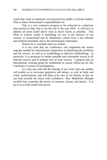extent that room to maneuver was perceived by public or private leaders. That is where Switzerland's responsibilities lie.

This is a very extensive program to be achieved in a relatively short period of time, that is, by the end of the year 2001. It will have to address all items listed above with as much clarity as possible. This effort to achieve clarity is something we owe to the memory of our victims; to Switzerland and its inhabitants, whose lives it has affected and rendered unsettled; and to the international community.

Permit me to conclude with two wishes:

It is my wish that our Conference will implement the means urgently needed for international cooperation in identifying the problems and the sources, as well as in establishing an effective methodology. In particular, it is necessary to render possible and convenient access to all relevant sources and to prepare lists of such sources. I propose that an international working group be established to ensure follow-up for this Conference in terms of investigations.

It is also my wish that the sharing of our work with one another will enable us to overcome prejudices and taboos, as well as futile and costly confrontations, and will help us be sure of our history so that we can look towards the future with confidence. Mrs. Madeleine Albright recalled here yesterday the power of memory, reason, and justice. It is up to us to help restore this power.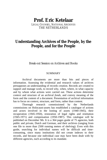## **Prof. Eric Ketelaar**

LEGAL COUNSEL, NATIONAL ARCHIVES THE NETHERLANDS

### **Understanding Archives of the People, by the People, and for the People**

Break-out Session on Archives and Books

#### SUMMARY

Archival documents are more than bits and pieces of information. Assessing the evidential and research values of archives presupposes an understanding of records creation. Records are created to support and manage work, to record why, when, where, in what capacity and by whom what actions were carried out. These actions determine context and structure of an archival *fonds*, and convey meaning of the form and the content of a document. Presentation of archival information has to focus on context, structure, and form, rather than content.

Thorough research commissioned by the Netherlands commissions on Holocaust-assets has established a catalogue of actions and actors involved in the looting of assets (1940-1945), their recuperation (1945-1950), restoration of legal rights and restitution (1945-1971) and compensation (1950-1987). This catalogue will be published on December 9th. It is a 364 pages guide of 75 agencies, both public and private, Dutch and German, and their archives (ranging from one file to more than 2500 running meters of shelving). Even with this guide, searching for individual names will be difficult and timeconsuming, since many institutions did not create indexes to their records, and because one individual case may have been dealt with by different agencies, each according to its mandate.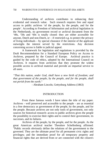Understanding of archives contributes to enhancing their evidential and research value. Such research requires free and equal access to public archives 'of the people, by the people, and for the people'. According to Freedom of Information and archival legislation in the Netherlands, no government record or archival document from the '40s, '50s and '60s is totally closed: they are either accessible for anyone, Dutch and non-Dutch, or  $-$  if restricted e.g. to protect the privacy of living individuals – by special clearance if the interest of the applicant outweighs the interest served by the restrictions. Any decision concerning access is liable to judicial appeal.

A framework for legislation and regulations is provided by the Draft Recommendation for a Standard European Policy on Access to Archives, prepared by the Council of Europe. Archival practice is guided by the code of ethics, adopted by the International Council on Archives. It requires from archivists that they promote the widest possible access to archival material and provide an impartial service to all users.

*"That this nation, under God, shall have a new birth of freedom; and that government of the people, by the people, and for the people, shall not perish from the earth."*

- Abraham Lincoln, Gettysburg Address (1863)

#### INTRODUCTION

From these famous words I have taken the title of my paper. Archives - well preserved and accessible to the people - are as essential in a free democracy as government of the people, by the people, and for the people. Because archives are not only tools of government, not only sources for historical research: access to public archives gives the people the possibility to exercise their rights and to control their government, its successes, and its failures.

Archives of the people, by the people, and for the people. As the great American archival teacher Theodore Schellenberg affirmed: "Public records obviously define the relations of the government to the governed. They are the ultimate proof for all permanent civic rights and privileges; and the immediate proof for all temporary property and financial rights that are derived from or are connected with the citizen's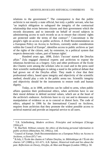relations to the government."<sup>1</sup> The consequence is that the public archivist is not merely a state official, but truly a public servant, who has "an implicit obligation to safeguard the integrity of the contractual relationship that exists between citizens and their government which the records document; and to intercede on behalf of record subjects in administering access to such records so as to ensure that citizens' rights are protected under the terms of that contract".<sup>2</sup> Concomitant is the people's right on access to public archives. A Draft Recommendation on a European Policy on Access to Archives, currently under consideration within the Council of Europe<sup>3</sup>, identifies access to public archives as 'part of the rights of the citizen, and, by extension, in a political system that respects democratic values, part of human rights'.

Hundred years ago, 1898, Zola's 'J'accuse' started the Dreyfus affair.<sup>4</sup> Zola engaged chemical experts and archivists to expose the infamous *bordereau* as a forgery. Giry and other professors of the Ecole des Chartes were among the scholars who in court and in the press used their scientific methodologies in taking a stand in the political debate that had grown out of the Dreyfus affair. They made it clear that their professional ethics, based upon integrity and objectivity of the scientific method, should play a role in the public arena too. Scientific integrity and objectivity should be the instruments to restore truth and human dignity.

Today, as in 1898, archivists can be called to arms, when public affairs question their professional ethics, when archivists have to use their moral defense to defend societal values, which are at the heart of the archivist's endeavor. Archivists have to cry out and to denounce any manipulation of evidence so as to conceal or distort facts. The code of ethics, adopted in 1996 by the International Council on Archives, requires from archivists that they promote the widest possible access to archival material and provide an impartial service to all users.

<sup>&</sup>lt;sup>1</sup> T.R. Schellenberg, Modern archives. Principles and techniques (Chicago 1956) p.9.

<sup>2</sup> H. MacNeil, *Without consent; the ethics of disclosing personal information in public archives* (Metuchen; NJ, 1992) p. 144.

<sup>3</sup> Council of Europe, Draft Recommendation on a European Policy on Access to Archives, cc/livre (97) 7 rev.

<sup>4</sup> B.Joly, L'École des chartes et l'affaire Dreyfus, in: *Bibliothèque de l'École des chartes* 147 (1989) p. 611-671; A.B. Spitzer, *Historical truth and lies about the past. Reflections on Dewey, Dreyfus, de Man and Reagan* (London 1996) p. 50.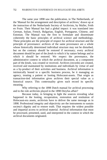The same year 1898 saw the publication, in The Netherlands, of the 'Manual for the arrangement and description of archives,' drawn up at the instruction of the Netherlands Society of Archivists, by Muller, Feith en Fruin. Their Manual has had a global impact: it was translated into German, Italian, French, Bulgarian, English, Portuguese, Chinese, and Estonian. The Manual was the first to formulate and disseminate coherently the basic principles of archival science and methodology. These principles are the principle of respect for archival structure and the principle of provenance: archives of the same provenance are a whole whose historically determined individual structure may not be disturbed, but on the contrary should be restored if necessary; every archival document should be part of the *fonds* to which it by nature belongs and to which it should be restored. We respect the provenance, the administrative context in which the archival document, as a component part of the *fonds*, was created or received. Archives (records) are created, received and maintained by institutions and individuals by virtue of and as a by-product of their activities and business. Archival information is intrinsically bound to a specific business process, be it managing an agency, treating a patient or looting Holocaust-assets. That origin as transaction-tied information gives archives their special value as a historical source. This contextuality gives each record its specific meaning.

Why referring to the 1898 Dutch manual for archival processing and to the role archivists played in the 1898 Dreyfus affair?

Because today, in bringing to light the sources revealing what happened in the looting, recuperation, restoration and restitution of Holocaust-era assets, archivists have to deliver the same message as in 1898. Professional integrity and objectivity are the instruments to sustain society's dignity and to restore truth. That requires the widest possible and impartial access to archival material. Archival information that must be processed, presented, used, and interpreted in the context in which the archival documents originated.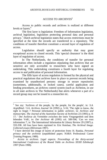#### ACCESS TO ARCHIVES<sup>5</sup>

Access to public records and archives is realized at different levels or layers.<sup>6</sup>

The first layer is legislation: Freedom of Information legislation, archival legislation, legislation protecting personal data and personal privacy.<sup>7</sup> Dutch archival legislation states that access restrictions must be specified at the time the records are transferred to a repository. The conditions of transfer therefore constitute a second layer of regulation of access.

Legislation should specify an authority that may grant exceptional access to closed records. This 'special clearance' is the third layer of regulation of access.

In The Netherlands, the conditions of transfer for personal information often include a regulation stipulating that archives that are sensitive are only accessible to researchers who have signed an undertaking. This undertaking constitutes a fourth layer for regulating access to and publication of personal information.

The fifth layer of access regulation is formed by the physical and practical regulations that archives have in place to prevent records being examined by unauthorized persons: storage in secure repositories (sometimes, additionally, in locked cases), careful application and lending procedures, an archives control system (such as Archeion, in use in all state archives in The Netherlands) that alerts whenever a part of a record group may not be issued to a researcher etc.

<sup>&</sup>lt;sup>5</sup> See my: 'Archives of the people, by the people, for the people', in: S.A. *Argiefblad / S.A. Archives Journal* 34 (1992) p. 5-16; 'The right to know, the right to forget ? Personal information in public archives', in: *Archives and manuscripts. The Journal of the Australian Society of Archivists* 23 (1995) p. 8- 17; ' Der Archivar als Vermittler zwischen der toten Vergangenheit und dem lebenden Volk', in: *Der Archivar* 48 (1995) col. 589-596; 'Can we trust information ?', in: The International Information & Library Review 29 (1997) p. 333-338. All four have been reprinted in: Eric Ketelaar, *The Archival Image. Collected essays* (Hilversum 1997).

<sup>6</sup> I have derived this image of layers of protection from: H. Raaska, *Personal privacy and the archivist* (unpublished paper; NARA Professional Career Training Program; 1989).

<sup>7</sup> *Access to archives. Legal aspects. Proceedings of the thirty-second International Conference of the Round Table on Archives XXXII Edinburgh 1997* (Paris 1998).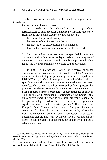The final layer is the area where professional ethics guide access to archives.

Let us consider these six layers.

1. In The Netherlands the archives law limits the grounds to restrict access to public records transferred to a public repository. Restrictions may be imposed solely in the interests of

- the respect for personal privacy or
- the interest of the State or its allies or
- the prevention of disproportionate advantage or
- disadvantage to the persons concerned or to third parties

2. Each restriction on access must be specified in a formal document, with reference to the legal basis and the purpose of the restriction. Restrictions should preferably apply to individual items, and not indiscriminately to whole bodies of records.

3. In 1996 the International Council on Archives published 'Principles for archives and current records legislation', building upon an earlier set of principles and guidelines developed in an UNESCO study.<sup>8</sup> One of these principles is 'Legislation should specify an authority who may grant exceptional access to closed records…This power should be exercised within a process that provides a further opportunity for citizens to appeal the decision'. Such a special clearance procedure was recommended as early as 1985 by the 23rd International Conference of the Round Table on Archives under the proviso that such procedure 'should be transparent and governed by objective criteria, so as to guarantee equal treatment of all interested parties'.<sup>9</sup> The Council of Europe's Draft Recommendation on a European Policy on Access to Archives also insists on 'the possibility of seeking from the competent authority special permission for access to documents that are not freely available. Special permissions for access should be granted under the same conditions to all users who request them.'

 8 See www.archives.ca/ica. The UNESCO study was: E. Ketelaar, *Archival and records management legislation and regulations; a RAMP study with guidelines* (Paris 1985).

<sup>9</sup> Access to archives and privacy. Proceedings of the twenty-third International Archival Round Table Conference, Austin 1985 (Paris 1987) p. 174.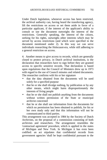Under Dutch legislation, whenever access has been restricted, the archival authority can, having heard the transferring agency, lift the restrictions on access or set them aside in favor of a particular applicant, if the interest of the applicant's ability to consult or use the document outweighs the interest of the restrictions. Generally speaking, the interest of the citizen, seeking for his rights, outweighs other interests which may be served by access restrictions (and which were specified in the document mentioned under 2). In this way we can serve individuals researching the Holocaust-era, while still adhering to a general restriction on access.

4. Another means to give access to records, which are generally closed to protect privacy, in Dutch archival institutions, is the declaration that researchers have to sign before they are granted access to specific sensitive records. That declaration is based upon regulations that the Council of Ministers drew up in 1973 with regard to the use of Council minutes and related documents. The researcher confirms with his or her signature

- that the data obtained from the documents will be used solely for a specified purpose
- that he or she shall divulge nothing, by publication or by any other means, which might harm disproportionately the interests of living people
- that he or she shall not publish anything from the documents without written permission of the State or municipal archivist concerned
- that he or she shall use information from the documents for which no permission has been obtained to publish, for his or her own study only and that this information will not be communicated to third parties.

This arrangement was accepted in 1984 by the Society of Dutch Archivists, on the proposal of a commission consisting of both archivists and researchers. The arrangement resembles the 'contractual agreement' procedure, which is applied in the states of Michigan and New York. In Michigan it has even been codified: an act stipulates that confidential records from government agencies 'shall be kept confidential pursuant to the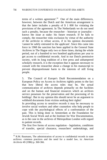terms of a written agreement'.<sup>10</sup> One of the main differences, however, between the Dutch and the American arrangement is that the latter includes a penalty of \$ 1 000 for violating the provisions of the agreement. In The Netherlands we do not need such a penalty, because the researcher - historian or journalist knows the issue at stake: his future research. If he fails to comply, the researcher risks exclusion by virtue of the authority of the archivist to refuse access, if in his opinion documents 'cannot be safely entrusted to the applicant'. Since this came into force in 1968 the sanction has been applied in the General State Archives in The Hague only two or three times, during the whole period, out of a hundred to two hundred applications per year to get access to confidential records. And in our Dutch permissive society, with its long tradition of a free press and unhampered scholarly research, it is the exception that it appears necessary to consult with the researcher about a change in his manuscript to prevent disproportionate harm to the interests of still living people.

5. The Council of Europe's Draft Recommendation on a European Policy on Access to Archives rightly points to the fact that how liberal the access rules may be, 'the actual communication of archives depends primarily on the facilities and on the human and financial resources which an archives service possesses for the preservation and the processing of its holdings'. But in my opinion this should never be an argument to withhold documents from victims seeking their rights!

In providing access to sensitive records it may be necessary to involve social workers and other counselors who help people to cope with the psychological effects of a confrontation of the past. This is being done in Amsterdam at the Foundation for Jewish Social Work and at the Institute for War Documentation, as is the case in the archives of Metropolitan London with regard to patient records.

The first five forms of access regulation - legislation, conditions of transfer, special clearance, researchers' undertakings, and

 $10$  R.M. Baumann, The administration of access to confidential records in state archives: common practices and the need for a model law, in: *American Archivist* 49 (1986) p. 360-366.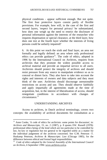physical conditions - appear sufficient enough. But not quite. The first four protective layers consist partly of flexible provisions. For example, how will, in the case of the first and second layers, 'respect for personal privacy' be substantiated, how does one weigh up the need to restrict the disclosure of personal information against the interests of the researcher who requests dispensation or special clearance, at the third layer, how does one test at the fourth layer whether the interests of living persons could be unfairly impaired?

6. At this point we reach the sixth and final layer, an area not formally and legally defined: an area where only professional ethics can provide guidance<sup>11</sup>. The code of ethics, adopted in 1996 by the International Council on Archives, requires from archivists that they promote the widest possible access to archival material and provide an impartial service to all users. Archivists should protect the integrity of archives and should resist pressure from any source to manipulate evidence so as to conceal or distort facts. They also have to take into account the rights and interests of owners and data subjects and they must think of the user. Archivists should discourage unreasonable restrictions on access and use. They should observe faithfully and apply impartially all agreements made at the time of acquisition, but, in the interest of liberalization of access, should renegotiate conditions in accordance with changes of circumstance.<sup>12</sup>

#### UNDERSTANDING ARCHIVES

Access to archives, in Dutch archival terminology, covers two concepts: the availability of archival documents for consultation as a

 $11$  Anne Cooke, 'A code of ethics for archivists: some points for discussion', in: *Archives and Manuscripts*, 15, no. 2 (1987), p. 8 quotes EW. Russell (1978): professional ethics being of the kind which are too particular to be controlled by law, by-law or regulation but too general to be regarded solely as a matter for the individual judgement of the archivist concerned. See G.M. Peterson -T. Huskamp Peterson, *Archives & Manuscripts: Law* (Chicago 1985), for the difference between ethical and formal legal responsibilities.

<sup>&</sup>lt;sup>12</sup> Code of ethics adopted by the General Assembly of the International Council *on Archives, 6 September 1996*: www.archives.ca/ica.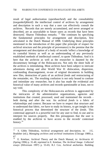result of legal authorization (*openbaarheid*) and the consultability (*toegankelijkheid*): the intellectual control of archives by arrangement and description in such a way that a user can effectively consult the archives. 'Records that are merely accumulated, and never arranged or described, are as unavailable to future users as records that have been destroyed,' Sharon Thibodeau remarks.  $^{13}$  She continues by specifying the fundamental principles for arrangement and description, first articulated in the Dutch Manual of 1898. Underlying these principles mentioned in the introduction of this paper (the principle of respect for archival structure and the principle of provenance) is the premise that the arrangement and description of a body of records 'reflect a knowledge of its custodial history as well as an understanding of any previously established methods of intellectual control', to quote Thibodeau. And it is here that the archivist as well as the researcher is daunted by the documentary heritage of the Holocaust-era. Not only the sheer bulk of the archives is intimidating. Most archives have been subject to intricate adventures during and after World War II: dislocation, dispersion, confounding disarrangement, re-use of original documents in building new files, destruction of parts of an archival *fonds* and restructuring of the remainder, etc. The resulting confusion is not only bound to confuse and intimidate any researcher, but it also has made the evidential and historical value of many archives and records questionable at least, not to say void.

This complexity of the Holocaust-era archives is aggravated by the intricacies of the administrative organizations, agencies and institutions that created, processed, used and maintained the records both during and after the war. An archival *fonds* is a fabric of relationships and context. Because we have to respect that structure and to understand that fabric, we have to study its history, to get insight in the historical process that determined the structure of the *fonds*. This contextual approach is a powerful tool for any user to find, to use and to interpret his sources properly. But this presupposes that the user is enabled by the archivist to have access to the records' contextual history.<sup>14</sup>

<sup>&</sup>lt;sup>13</sup> S. Gibbs Thibodeau, Archival arrangement and description, in: J.G. Bradsher (ed.), *Managing archives and archival institutions* (Chicago 1989) p.  $^{67}_{14}$ 

<sup>14</sup> E. Ketelaar, Archival Theory and the Dutch Manual, in: *Archivaria* 41 (Spring 1996) p. 31-40, reprinted in E. Ketelaar, *The Archival Image. Collected essays* (Hilversum 1997) p. 55-65; R.J. Cox, Archival anchorites. Building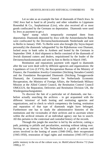Let us take as an example the fate of diamonds of Dutch Jews. In 1942 Jews had to hand in all jewelry and other valuables to Lippmann Rosenthal & Co., Sarphatistraat (Liro), who also received all or most goods confiscated by the Germans on deportation. Diamonds were used by Jews as payment to get a

'Sperr' stamp which temporarily exempted them from deportation. Diamonds deposited by Jews with the Amsterdamsche Bank were confiscated by the Devisenschutzkommando Niederlande and sent to Berlin in January 1945. To Berlin were also brought (by Seyss-Inquart personally) the diamonds 'safeguarded' by the Rijksbureau voor Diamant, locked away in bank safes in Arnhem and looted by the Germans in September 1944. A third shipment to Berlin consisted of the diamonds of Jewish diamond cutters and dealers, requisitioned by the leader of the Devisenschutzkommando and sent by him to Berlin in March 1945.

Restitution and reparations payment with regard to diamonds after the war were dealt with by different agencies and organizations: the Liquidators of Liro (LVVS), the Recuperation Bureau of the Ministry of Finance, the Foundation Jewelry-Committee (Stichting Sieraden-Comité) and the Foundation Recuperated Diamonds (Stichting Teruggevoerde Diamant), the Commissioner General for Netherlands Economic Recuperation, the Ministry of Foreign Affairs, the Netherlands Military Mission at the Allied Control Council, the Restitution Control Council OMGGUS, the Reparation, Deliveries and Restitution Division UK, the Wiedergutmachungsämter.

To discover the fate of a particular set of diamonds, one has before actually searching the archives - to get acquainted with the different 'missions' of both looting and restituting agencies and organizations, and to check to which competency the looting, restitution and reparation of that type of diamonds might have belonged. Furthermore one has to study the administrative histories of the institutions and the vicissitudes of their archives and to ascertain where within the archival remains of an individual agency one has to search. All this pertains to the contextual and custodial history of the records.

Through this jungle the searcher is led by the archivist, cutting a path, pointing to pitfalls and peculiarities, assisting without taking over. Serving as an itinerary in The Netherlands is a guide of actions and actors involved in the looting of assets (1940-1945), their recuperation (1945-1950), restoration of legal rights and restitution (1945-1971) and

public memory in the era of the culture wars, in: *MultiCultural Review* 7/2 (June 1998) p. 57.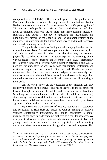compensation (1950-1987).<sup>15</sup> This research guide - to be published on December 9th - is the fruit of thorough research commissioned by the Netherlands commissions on Holocaust-assets. It is a 364 pages guide of 75 agencies, both public and private, Dutch and German, and their archives (ranging from one file to more than 2500 running meters of shelving). The guide is the key to grasping the institutional and administrative history of the agencies, and the custodial history of the archives. It is a prerequisite for finding one's way to and into the archives and to understanding the archives.

The guide also mentions finding aids that may guide the searcher to the document level. Sometimes a particular *fonds* is enriched by lists and indexes with names, in other cases the files may be arranged physically according to names. The guide explains the meaning of the various signs, symbols, stamps, and references like ' H.R.' (presumably for Hausrat  $=$  household effects), with a number between 1 and 23015, used by Liro and, after the war, by various recuperation, restoration and restitution agencies. For indeed, German and Dutch bureaucrats maintained their files, card indexes and ledgers so meticulously that, once we understand the administrative and record keeping history, their detailed accounts can be checked as if their creators are still working at their desks.

All too often, however, the custodian of the material can only identify the boxes on the shelves, and has to leave it to the researcher to browse through the documents and to find the needle in the haystack. Searching for individual names will be difficult and time-consuming, since many institutions did not create indexes to their records, and because one individual case may have been dealt with by different agencies, each according to its mandate.

By dissecting the machinery of looting, recuperation, restoration and restitution of Holocaust-era assets, as well as making its archival vestiges contextually transparent, the guide constitutes a major instrument not only in understanding archives as a tool for research. We also plan to develop the guide into an educational instrument. To teach young people how bureaucratic control, registration and accounting during and after the war were used for good and for evil purposes. This

<sup>15</sup> <sup>15</sup> J.M.L. van Boxmeer - P.C.A. Lamboo - H.A.J. van Schie, *Onderzoekgids Archieven Joodse oorlogsgetroffenen. Overzicht van archieven met gegevens over roof, recuperatie, rechtsherstel en schadevergoeding van vermogens van Joden in Nederland in de periode 1940-1987, vervaardigd in opdracht van de Commissie van Onderzoek Liro-archieven* (Den Haag 1998).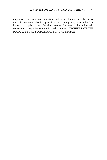may assist in Holocaust education and remembrance but also serve current concerns about registration of immigrants, discrimination, invasion of privacy etc. In this broader framework the guide will constitute a major instrument in understanding ARCHIVES OF THE PEOPLE, BY THE PEOPLE, AND FOR THE PEOPLE.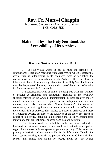# **Rev. Fr. Marcel Chappin**

PROFESSOR, GREGORIANA PONTIFICAL UNIVERSITY THE HOLY SEE

## **Statement by The Holy See about the Accessibility of its Archives**

Break-out Session on Archives and Books

1. The Holy See wants to call to mind the principles of International Legislation regarding State Archives, in which is stated that every State is autonomous in its exclusive right of regulating the conservation and the accessibility of its Archives. It is therefore an inherent attribute of the sovereign character of the Holy See, that it alone must be the judge of the pace, timing and scope of the process of making its Archives accessible for research.

2. Ecclesiastical Archives cannot be compared with the Archives of secular governments and institutions. Because of the primarily spiritual mission of the Church, documentation in these archives mostly include discussions and correspondence on religious and spiritual matters, which also concern the "forum internum", the realm of conscience, on which guidance and counsel are sought and offered for the spiritual life of persons. This applies to Diocesan archives and those of Religious Orders, but also to the Archives of the Holy See, since no aspect of its activity, including its diplomatic one, is really separate from its primary spiritual, religious, apostolic and pastoral mission.

The Church would be unfaithful to her mission, and indeed hindered in that same mission, if she would not maintain a scrupulous regard for the most intimate sphere of personal privacy. This respect for privacy is intrinsic and unrenounceable for the life of the Church. She has a sacrosanct duty towards the persons who entrusted her with their secrets and cannot and should not betray them, for any reason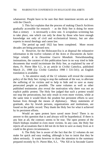whatsoever. People have to be sure that their innermost secrets are safe with the Church.

3. This fact explains that the process of making Church Archives gradually accessible for research - as the Holy See is doing for more than a century  $-$  is necessarily a slow one. A scrupulous screening has to take place, one which can only be done by those who have enough knowledge not only of civil and ecclesiastical history, but are also experts in moral theology and canon law.

The period up until 1922 has been completed. More recent decades are being processed now.

4. However, for the Holocaust-Era is at disposal the exhaustive information in the twelve volumes of the *Actes et Documents du Saint-Siège relatifs à la Deuxième Guerre Mondiale*. Notwithstanding insinuations, the curators of this publication have in no way tried to hide documents that would incriminate the Holy See, as explained by one of them, Fr. Pierre Blet S.J., in an article in *Civiltà Cattolica*, published March 21, 1998 (*La Civiltà Cattolica* 1998 I 531-541); an English translation is available.

 5. An attentive study of the 12 volumes will reveal the constant policy of the Holy See: trying to stop the outbreak of the war, to alleviate the suffering of its victims and to help to hide and to save as many persecuted people as possible. The same volumes as well as other published testimonies also reveal the motivation why there was not an explicit public protest. The Holy See judged that such a protest would not stop the persecutions, but only result in even more victims, while at the same time it would block the prudent but persistent efforts to save human lives through the means of diplomacy. Many statements of gratitude, also by Jewish persons, organizations and institutions, are found on the public record. They thank the Holy See for what it achieved by its persistent efforts.

Would an open protest have saved more lives? There is no answer to this question that is and always will be hypothetical. If there is any hint at all, the contrary seems to be true. The open protest of the Dutch bishops resulted in even more victims. In any case, the Holy See rejects all accusations that it did not do its best to save as many lives as it could in the given circumstances.

6. The Holy See is aware of the fact that the 12 volumes do not make for quick and easy reading, although is has to insist that they be taken seriously. It wants however to draw the attention to the summary prepared recently by Fr. Pierre Blet, S.J., "Pie XII et la Seconde Guerre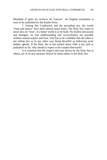Mondiale d'après les archives du Vatican". An English translation is soon to be published by the Paulist Press.

7. During this Conference and the preceding one, the words "truth and justice" have been uttered many times. The Holy See wants to insist also on "trust", if a better world is to be built. No fruitful discussion and dialogue, no real understanding and reconciliation are possible without mutual respect and trust. One has to be confident that the other is not telling lies or in any other way being deceitful or following some hidden agenda. If the Holy See is not trusted about what it has said or published so far, why should it expect to be trusted afterwards?

It is essential that the respect and trust shown by the Holy See to others, are in no less measure shown by those others to the Holy See.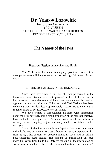# **Dr. Yaacov Lozowick**

DIRECTOR OF THE ARCHIVES YAD VASHEM THE HOLOCAUST MARTYRS' AND HEROES' REMEMBRANCE AUTHORITY

## **The Names of the Jews**

Break-out Session on Archives and Books

Yad Vashem in Jerusalem is uniquely positioned to assist in attempts to restore Holocaust era assets to their rightful owners, in two ways:

### 1. THE LIST OF JEWS IN THE HOLOCAUST

Since there never was a full list of Jews persecuted in the Holocaust, no archive can ever be in possession of it. In lieu of such a list, however, many thousands of local lists were created by various agencies during and after the Holocaust, and Yad Vashem has been collecting them for decades: Approximately 10,000 lists to date, with a rough estimate of 16-20,000,000 relevant names.

We have created a computerized database with information about the lists; however, only a small proportion of the names themselves have so far been computerized. The collection of additional lists is an actively pursued, ongoing project, and many hundreds of lists are added each year.

Some of the information is overlapping data about the same individuals: i.e., an attempt to cross a border in 1941, a deportation list from 1942, a list of transfers between camps in 1943, and an official post-Holocaust death notice. The amount of information on each individual varies from list to list. Only by collating all the information do we acquire a detailed profile of the individual victims. Such collating,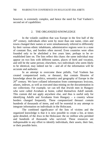however, is extremely complex, and hence the need for Yad Vashem's second set of capabilities:

#### 2. THE ORGANIZED KNOWLEDGE

In the volatile cauldron that was Europe in the first half of the  $20<sup>th</sup>$  century, individuals often went by more than one name, cities and towns changed their names or were simultaneously referred to differently by their various ethnic inhabitants, administrative regions were in a state of constant flux, and borders often moved. Even countries were often founded only to be abolished a few years later, perhaps to be reestablished later on. The lists reflect this chaos: the same individual may appear on two lists with different names, places of birth and vocation, and still be the same person; elsewhere, two individuals who seem likely to be identical, may indeed not be – and all of the information will be accurate and authentic.

In an attempt to overcome these pitfalls, Yad Vashem has created computerized tools, or thesauri, that contain libraries of knowledge about the politics, semantics and geography of Europe in the  $20<sup>th</sup>$  century. We have collated information from contemporary lexicons, atlases, indexes, as well as executed data-mining on the documentation in our collections. For example, we can tell that Jewish men in Hungary who were called Avraham at home, called themselves Adolf outside. This custom did not apply anywhere else, and thus is useful only for identifying Adolfs and Avrahams from Hungary – a country whose borders changed frequently. These computerized thesauri contain hundreds of thousands of items, and will be essential in any attempt to integrate information on individuals in the Holocaust.

The combined significance of the lists of victims and the organized knowledge is that it is now possible to create a list, at times quite detailed, of the Jews in the Holocaust: the sic million who perished and hundreds of thousands who survived. These resources are indispensable to any effort to identify individuals, their assets, their fate, or their possible heirs.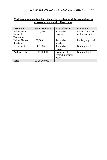### **Yad Vashem alone has both the extensive data and the know-how to cross-reference and collate them.**

| Description         | Estimated number | Type of Persons   | Digitization        |
|---------------------|------------------|-------------------|---------------------|
| Hall of Names:      | 1,700,000        | Jews who          | 450,000 digitized   |
| Pages of            |                  | perished          | without scanning    |
| Testimony           |                  |                   |                     |
| Hall of Names:      | 160,000          | Jews who          | Partially digitized |
| <b>Survivors</b>    |                  | survived          |                     |
| <i>Yizkor</i> books | 1,000,000        | Jews who          | Non-digitized       |
|                     |                  | perished          |                     |
| Archival lists      | 15-17,000,000    | People of all     | Non-digitized       |
|                     |                  | types, but mainly |                     |
|                     |                  | Jews              |                     |
| Total               | 18-20.000.000    |                   |                     |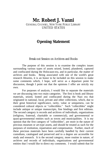# **Mr. Robert J. Vanni**

GENERAL COUNSEL, NEW YORK PUBLIC LIBRARY UNITED STATES

## **Opening Statement**

### Break-out Session on Archives and Books

The purpose of this session is to examine the complex issues surrounding various types of assets seized, looted, plundered, captured and confiscated during the Holocaust-era, and in particular, the matter of archives and books. Being associated with one of the world's great research libraries, it is an honor to be included on this session to make some comments which, I hope, will serve as a departure point for discussion, though I point out that the opinions I offer are strictly my own.

For purposes of analysis, I would like to separate the materials we are discussing into two main categories. The first is book and library materials, seized, looted and confiscated during the Nazi era that originated in national, local, private and other collections, which, due to their great historical significance, rarity, value or uniqueness, can be considered cultural objects or "collectibles." Such "collectibles" might include antique or unique manuscripts, fine bindings and first editions. The second category is records and archives of individuals, organizations (religious, fraternal, charitable or commercial), and governmental or quasi-governmental entities such as towns and municipalities. It is my opinion that the first category of "collectibles", are more in the nature of precious museum or art-type assets, and should be treated as such for the purposes of restitution, repatriation and compensation. Further, much of these precious materials have been carefully handled by their current custodians, catalogued and preserved and to a degree are accessible for study and research. It is the second category, more routine in nature, of archives and records of individuals, organizations and governmental entities that I would like to direct my comments. I would submit that for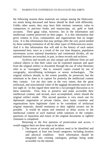the following reasons these materials are unique among the Holocaustera assets being discussed and hence should be dealt with differently. Unlike other assets, they may have little intrinsic monetary value in comparison to precious books and manuscripts, art, gold or bank accounts. Their great value, however, lies in the information and intellectual content preserved on their pages. It is this information that gives witness to lives, communities and organizations that no longer exist. It is this information that may perhaps offer the very proof needed by those seeking restitution of all the other types of Holocaust-era assets. And it is this information that will add to the history of each nation represented here, since as a result of the war time diaspora, population movements across national boundaries and continental divides, all our national histories are revealed, in part, in these records and archives.

Archives and records are also unique and different from art and cultural objects in that their value can be exploited separate and apart from the original artifact or document through the use of what librarians refer to as "surrogates", that is, research copies created by use of xerography, microfilming techniques or newer technologies. The original artifacts should, to the extent possible, be preserved, but the minimum to be done is to capture for posterity the intellectual content they contain. Let me also state at the very outset, that the great artifactual, and associational value of the original documents must not be lost sight of. In this regard there need be a two-pronged discussion as to these materials. First, how to preserve and make accessible their intellectual content; and second, once accomplished, where should the original artifact reside. This second question is very much one for diplomatic negotiation or private claims, since many countries and organizations have legitimate claim to be custodians of artifactual original materials, should restitution to their rightful owners not be possible. It would be unjust and immoral to delay access to the intellectual content of such material while solutions to the complex questions of reparation and return of the original documents to rightful claimants is completed.

Returning to the first question of preservation and access, I would suggest there are three steps to be taken:

1. The troves of records and archives need to be identified and catalogued, at least into broad categories, including location and physical condition. Such information should be integrated into existing catalogues, perhaps being made accessible via the internet.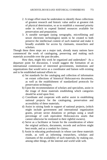- 2. A triage effort must be undertaken to identify those collections of greatest research and historic value and/or at greatest risk of physical deterioration, so as to establish a reasoned priority order in which to expend limited resources available for preservation and preparation.
- 3. A useable surrogate (using xerography, microfilming and newer electronic technologies) needs to be created to both preserve the intellectual content of such material and make it broadly available for access by claimants, researchers and scholars.

Though these three steps are a major task, already many nations have commenced the work of cataloguing, preserving and making such materials accessible over the past decades.

How then, might this work be organized and undertaken? As a departure point for discussion, I would suggest the formation of an international commission of interested governments, institutions and organizations that would serve as a coordinator and liaison with existing and to be established national efforts to:

- a) Set standards for the cataloging and collection of information on extant collections of historical Holocaust-era documents, as well as the establishment of standardized protocols for preservation techniques;
- b) Upon the recommendation of scholars and specialists, assist in the triage of those materials establishing which categories should be acted upon first;
- c) Coordinate and cooperate with and/or assist in establishing national projects for the cataloguing, preservation and accessibility of these materials;
- d) Assist in raising funds in support of national projects, (which might include government and international organization grants, private sector donations or perhaps using a small percentage of cash equivalent Holocaust-era assets that cannot otherwise be restituted to their rightful owners).
- e) Serve as a facilitator or forum for the consideration of where the original artifacts, documents, records and archives might best reside, and as a conduit for claims;
- f) Assist in educating professionals in whose care these materials reside, as well as informing researchers, scholars and claimants of the availability of such materials, by making use, among other things, of the internet and world wide web.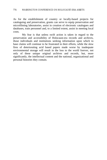As for the establishment of country or locally-based projects for cataloguing and preservation, grants can serve to equip preservation and microfilming laboratories, assist in creation of electronic catalogues and databases, train personnel and, to a limited extent, assist in meeting local costs.

My fear is that unless swift action is taken in regard to the preservation and accessibility of Holocaust-era records and archives, those individuals and institutions seeking information upon which to base claims will continue to be frustrated in their efforts, while the slow fires of deteriorating acid based papers made worse by inadequate environmental storage will result in the loss to the world forever, not only of these unique original archives and records, but, more significantly, the intellectual content and the national, organizational and personal histories they contain.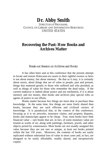# **Dr. Abby Smith**

DIRECTOR OF PROGRAMS COUNCIL ON LIBRARY AND INFORMATION RESOURCES UNITED STATES

## **Recovering the Past: How Books and Archives Matter**

Break-out Session on Archives and Books

It has often been said at this conference that the present attempt to locate and restore Holocaust-era assets to their rightful owners or heirs is not about money, but about memory. Be that as it may, it is certainly about *assets*, about things that are of value to people, past and present, things that mattered greatly to those who suffered and who perished, as well as things of value for those who remember the dead today. If the current endeavor is indeed about justice and not retribution, if it is about memory and not money, then books and archives play special roles as agents of justice in our efforts.

Books matter because few things are more dear in purchase than knowledge. At the same time, few things are more freely shared than books, because they are such efficient and civilized carriers of knowledge. It is paradoxical that, in the context of this conference, focusing as it is on artworks, insurance claims, and property disputes, books and manuscripts appear to be cheap. True, most books have little financial value -- rare books that are, in fact, of some monetary value are treated as works of art, along with paintings, furniture, jewels, and other objects prized by connoisseurs. Most books are not usually assigned this value because they are not rare or unique, at least not books printed within the last 150 years. Moreover, the contents of books are easily replicated without substantial loss of value in most cases and, in fact, are designed to be easily affordable, readily shared, and inexpensively copied.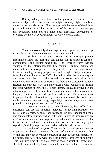But beyond any value that a book might or might not have as an aesthetic object, there are other, one might even say higher, levels of value for the recorded word. How we approach the matter of the rightful place and ownership of these words, and of the books and manuscripts that contained them and that have been displaced, depredated, or orphaned by the war, depends largely on why we value them.

#### THE PAST

There are essentially three ways in which print and manuscript materials are of value in the context of the task at hand:

\* As *keys to the past:* Books and manuscripts provide information about the past that can unlock for us different types of consciousness and cultural sensibility. The recorded words that are valuable for the information that they contain -- cultural history and memory found in newspapers, novels, journals -- are important sources for understanding the way people lived and thought. Daily newspapers from the Vilna ghetto in the 1930s that tell us what the community ate and wore; socialist tracts that reveal how some political activists understood the revolutions of Russia and how they conceived the ideal relationship between state and individual; novels published in Tallinn that bear witness to how the Estonian literary language evolved in the inter-war period -- these constitute important sources for historians of language, culture, music, art, politics, and so on. These sources are important for the information they contain, and should be copied and made available internationally, especially because they were often printed on acidic paper now aged and fragile.

\* As *records of the past:* Archival records, both official and unofficial, can provide important evidence for locating relatives, lost assets, and so forth, because they testify to the whereabouts of people and things before, during, and after the war. Many of these records are in government archives and repositories and should be made accessible to researchers without restrictions and to the best of any given repository's ability to process and make available their records.

\* As *relics of the past:* There are books and papers that are important as objects themselves because of their associational value. While they may not be valuable because of their intellectual content, nor be particularly rare, they were once the personal property of someone. This is, in my view, the only category of book in which the object itself should be returned to legitimate claimants in order to achieve restitution.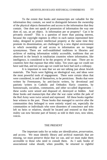To the extent that books and manuscripts are valuable for the information they contain, we need to distinguish between the ownership of the physical objects themselves and access to the information that they contain. One does not speak of possession of information the way one does of, say, an art object. Is information per se property? Can it be privately owned? This is a question of more than passing interest, because the copyright regimes in effect in each nation represented here today, designed to protect intellectual property at the same time they promote its dissemination, are challenged by a new digital environment in which ownership of and access to information are no longer synonymous. There are well-established traditions in libraries and archives of making information widely accessible, traditions that are observed in the breach in totalitarian countries where information, like intelligence, is considered to be the property of the state. There are no countries here that espouse that ethic today. Ten years ago we could not have said that, and ten years ago we could not have had such a colloquy.

It is important to note that we are not talking just about Jewish materials. The Nazis were fighting an ideological war, and ideas were the most powerful tools of engagement. There were certain ideas that were considered, in and of themselves, to be pernicious. Books that were written by Freemasons, by anti-fascist writers, by devotional and patriotic writers in Catholic and Orthodox Slavic countries, by homosexuals, socialists, communists, and other so-called degenerates – these works were seized and disposed of, destroyed or hidden. And those books and manuscripts that after the war came within the pale of the Red Army were twice seized and repressed. All these books together bear witness to the past. Those books that managed to survive after the communities they belonged to were entirely wiped out, especially the communities or individuals who were dissenters of conscience and who left no heirs or relatives, should be located and restored so that their reality can now become part of history as told in their own, now silent, voices.

#### THE PRESENT

The important tasks for us today are *identification, preservation,* and *access*. We must identify library and archival materials that are missing, we must preserve those that we can, and we must make them accessible to those who need to consult them. As I said, books of associational value should, when possible, be returned to rightful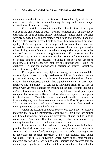claimants in order to achieve restitution. Given the physical state of much that remains, this is often a daunting challenge and demands major expenditures of time and money.

For materials that contain valuable cultural information, copies can be made and widely shared. Physical restitution may or may not be desirable, but it is at times simply impractical. These items are often severely damaged due to poor storage conditions and improper handling; they are also frequently very fragile because they were printed on poorquality, high-acid paper. It is important to make these materials accessible, even when we cannot preserve them, and preservation microfilming is an efficient and relatively inexpensive way to maximize universal access to remote and fragile resources. For those records that are of value to current and future researchers trying to determine the fate of people and their possessions, we must press for open access to archives, a principle endorsed both by the International Council on Archives (ICA) and the International Federation of Library Associations and Institutions (IFLA).

For purposes of access, digital technology offers an unparalleled opportunity to share not only databases of information about people, places, and things, but also the historic documents themselves. I must caution the enthusiastic, though, that digital conversion is very labor intensive and expensive. It can range anywhere from \$5 to \$30 an image, with yet more expense for creating all the access points that make digital information retrievable. Access to digital materials depends upon computer hardware and software, both of which are expensive and prone to obsolescence. Materials scanned and made available in one file format today may well be obsolete and unreadable 20 or 30 years hence. We have not yet developed practical solutions to the problem posed by the impermanence of digital information.

Given the expense of digital conversion, especially for archival materials that may be infrequently consulted, we are better off putting our limited resources into creating inventories of and finding aids to collections. This route offers the best way to share information  $-$  by making known that it exists and where it can be found.

Libraries and archives seldom, if ever, have enough funds to provide the kind of services they want to. As the national archives in America and the Netherlands know quite well, researchers gaining access to Holocaust-era records represent a new constituency and added workload. And in Eastern Europe, where many of the most valuable materials are found, we are talking about libraries and archives that are opening up to public use for the first time in our lives, at exactly the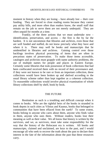moment in history when they are losing – have already lost -- their core funding. They are forced to close reading rooms because they cannot pay utility bills, and more often than readers know, the small staff that remain on the job to serve them are not merely underpaid. They are often unpaid for months at a time.

Frankly, of the three actions that we must undertake now – identification, preservation, and access -- the first is the by far the hardest. It is not uncommon that libraries and archives, even those that are well funded and staffed, do not know precisely what they have and where it is. There may well be books and manuscripts that lie unidentified in libraries and archives. Gaining control over those backlogs involves physical processing of items that are often in precarious states of preservation. To make those items accessible, catalogers and archivists must grapple with name authority problems, the use of multiple names for people and places in Eastern Europe. Certainly some libraries that took possession of book collections that had been confiscated received them with no record of their provenance and, if they were not known to be rare or from an important collection, these collections would have been broken up and shelved according to the usual library scheme rather than kept together as a coherent collection. To reassemble collections would involve physical examination of whole library collections shelf by shelf, book by book.

#### THE FUTURE

Restitution as such is a troubling and difficult concept when it comes to books. Who are the rightful heirs of the books in stranded in book depots in such cities as Vilnius and Kaunus, books that belonged to communities that have been effaced from the earth? To some extent, books belong to anyone who cares about them, anyone who finds value in them, anyone who uses them. Without readers, books lose their meaning as well as their value. We all know that history is written by the survivors, and we, as survivors, must take some responsibility for the way that the history of the Holocaust era is written. All books and manuscripts, claimed and unclaimed, are keys to the past, and I would encourage all who seek to recover the truth about the past to declare their interest in the fate of the information about the past that these resources carry.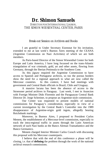## **Dr. Shimon Samuels** DIRECTOR FOR INTERNATIONAL LIAISON, THE SIMON WIESENTHAL CENTER, PARIS

### Break-out Session on Archives and Books

I am grateful to Under Secretary Eizenstat for his invitation, extended to me at last week's Buenos Aires meeting of the CEANA (Argentine Commission on Nazi Activities) of which we are both members.

As Paris-based Director of the Simon Wiesenthal Center for both Europe and Latin America, I have long focussed on the trans-Atlantic triangulation of war criminals, gold, art and other assets, flowing from Germany, through the Iberian Peninsula to the Southern Cone.

As this jigsaw required the Argentine Commission to have access to Spanish and Portuguese archives, so too the porous borders show the need for a regional approach to what are now called the Mercosur countries. In this context, I have had meetings with government and Central Bank officials in Brazil, Chile and Uruguay.

A massive lacuna has been the absence of access to the Stroessner period archives in Paraguay. Last week, I met in Asuncion with Foreign Minister Dido Florentin and the Paraguayan Central Bank Director Dr. Jorge Schreiner, to propose an Argentine-style commission.

Our Center was requested to present models of national commissions for Paraguay's consideration, especially in view of a current investigation by the Central Bank's Controller into the 1989 disappearance of Argentine-origin gold ingots, allegedly bearing Reichsbank markings.

Moreover, in Buenos Aires, I proposed to President Carlos Menem, the establishment of a Mercosur-level commission, especially to track the intra-regional traffic in assets through the Latin American network of such Nazi banks as the Banco Aleman Transatlantico and the Banco Germanico.

Menem charged Interior Minister Carlos Corach with discussing this proposal with his Mercosur counterparts.

I believe that with the end of this conference a phase will be closing, i.e. that of **defining** the problem through the work of the national archival research commissions.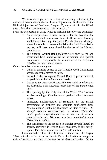We now enter phase two – that of enforcing settlement, the closure of commitments, the fulfillment of promises. In the spirit of the Biblical injunction of Leviticus, Chapter 25, verse 10: "In the fiftieth year…thou shalt restitute to each…his property…"

From my perspective in Paris, I wish to mention the following examples:

- An ironic paradox, in some cases, is that the creation of a national archival commission has cut off access to formerly available archives, e.g. the Bercy French Finance Ministry, where I was able to research the Tripartite Gold Commission reports, until these were closed for the use of the Matteoli Commission.
- The Spanish Central Bank archives were open to me and others until Lord Janner called for the creation of a Spanish Commission. Henceforth, the researcher of the Argentine CEANA has been denied access.

Other obstacles to transparency are:

- Delay in granting access to the Tripartite Gold Commission archives recently moved to Paris.
- Refusal of the Portuguese Central Bank to permit research on gold flow to Latin America and Asia.
- Access to the Austrian Finance Ministry archives relating to pre-Anschluss bank accounts, especially of the State-owned PSK.
- The opening by the Holy See of its World War Two-era archives relating to Croatian-looted gold and other Holocaust issues.
- Immediate implementation of restitution by the British government of property and accounts confiscated from "enemy aliens", including thousands of Nazi victims. *To attempt archival reconstruction, the Simon Wiesenthal Center posted a questionnaire on its Internet site to seek potential claimants. We have since been mandated by some 130 account holders*.
- The fulfillment of the promise to transfer several looted art objects, currently in French State museums, to the newlyopened Paris Museum of Jewish Art and Tradition.

I am reminded of a bitter historical coincidence. In August 1944, with the Allies about to liberate Paris, the Resistance stopped a train of looted art that was on its way to the German frontier. On the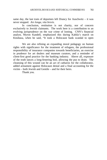same day, the last train of deportees left Drancy for Auschwitz – it was never stopped. *Ars longa, vita brevis.*

In conclusion, restitution is not charity, nor of concern exclusively to Jewish claimants. The work here is a contribution to an evolving jurisprudence on the war crime of looting. CNN's financial analyst, Myron Kandell, emphasized this during Kabila's march on Kinshasa, when he said, "It took a Holocaust bank scandal to open

We are also refining an expanding moral pedagogy on human rights with significance for the treatment of refugees, the professional responsibility of insurance companies towards beneficiaries, an exercise in prudence for art dealers and museum curators, and a reminder of client-first good practice for the banking industry. Above all, exposure of the truth lances a long-festering boil, allowing the pus to drain. The cleansing of this wound can be an act of catharsis for the collaborator, added armament against Holocaust denial and a final accounting for the victim – both Jewish and Gentile – and for their heirs.

Thank you.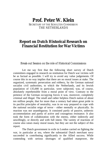# **Prof. Peter W. Klein**

SECRETARY OF THE SCHOLTEN COMMISSION THE NETHERLANDS

## **Report on Dutch Historical Research on Financial Restitution for War Victims**

Break-out Session on the role of Historical Commissions

Let me say first that the following short survey of Dutch committees engaged in research on restitution for Dutch war victims will be as factual as possible. I will try to avoid any value judgements. Of course this in no way implies that there are no moral issues at stake. The organized, systematic persecution and robbery, by the German national socialist civil authorities, to which the Netherlands, and its Jewish population of 135,000 in particular, were subjected, was, of course, absolutely reprehensible from a moral point of view. Contrary to the pretence of the German occupying forces it was, moreover, completely criminal and illegal. The small and rather helpless Dutch nation of about ten million people, that for more than a century had taken great pride in its pacifist principles of neutrality, was in no way prepared to cope with the national socialist reign of terror - either mentally or physically. Its reaction was not unambiguous. It consisted partly of passive, unheroic accommodation and partly of active and courageous resistance. It also took the form of collaboration with the enemy, either indirectly and unwillingly, or directly and with full intent. The variety of reactions of course also raises many moral issues, but they are not the subject of this report.

The Dutch government in exile in London carried on fighting the war, in particular at sea, where the substantial Dutch merchant navy succeeded in contributing significantly to the Allied success. While contending with serious shortages of qualified manpower, the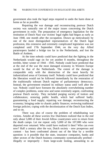government also took the legal steps required to undo the harm done at home as far as possible.

Repairing the war damage and reconstructing postwar Dutch society was naturally one of the major issues concerning the Dutch government in exile. The preparation of emergency legislation for the restitution of Dutch Nazi war victims' legal rights had begun as early as June 1940, one month after the occupation. Drawn up meticulously by one of the most distinguished representatives of the Dutch legal profession, this extensive and extremely complicated legislation was not completed until 17th September 1944, on the very day Allied paratroopers landed a bridge too far in the Netherlands, and lost the Battle of Arnhem.

At the time nobody could have predicted that the fighting in the Netherlands would rage on for yet another 8 months, throughout the terrible, bitter winter of 1944 - 1945. Nobody could have predicted that at the end of the war the most damaged economy in Western Europe would be that of the Netherlands. The extent of the damage is comparable only with the destruction of the most heavily hit industrialized areas of Germany itself. Nobody could have predicted that the liberation would not be followed immediately by the restoration of the traditionally tolerant Dutch regime of parliamentary democracy. Instead, the government retained its military status until well after the war. Nobody could have foreseen the absolutely overwhelming number of complex problems, some new and some extremely urgent, confronting postwar Dutch society. They included purging society of traitors and collaborators; restoring public health, which had suffered badly; guaranteeing a food supply; repairing war damage; reconstructing the economy; bringing order to chaotic public finances; reviewing traditional foreign policies; coping with the decolonization of the Dutch East Indies, and so on.

There was also of course the problem of rehabilitating war victims. Amidst all these worries few Dutchmen realized that in the end only about 5,000 of their Jewish fellow countrymen were to return from the death camps. Let me repeat: only 5,000 of the 107,000 who were deported ever returned. Who could have realized it then? Who can even now? Half a century after the war, Dutch society - now prosperous and content - has been confronted almost out of the blue by a terrible question: is it possible that the state, insurance companies, banks and other sectors of the Dutch business community systematically profited illegally or improperly - from large-scale looting, amounting to an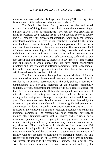unknown and now undoubtedly large sum of money? The next question is, of course: if this is the case, what can we do about it?

The Dutch tribe, being Dutch, followed its tried and tested, traditional way of doing things - particularly where there is something to be investigated. It sets up committees - not just one, but preferably as many as possible, each recruited from its own specific sector of society and well-stocked with professional expertise. Apart from the separate ministerial committee of five or six members, headed by the prime minister himself, and instructed by the Dutch government to supervise and coordinate the research, there are now another five committees. Each of them works according to its own rules, methods and research techniques, and each has its own job description and its own perspective. There are also of course a number of sub-committees, each with its own job description and perspective. Needless to say, there is some overlap and duplication. It would appear that we have major coordination problems and that efficiency is suffering somewhat. But the advantage of this rather cumbersome approach is evident: the chance that anything will be overlooked is less than minimal.

The first committee to be appointed by the Minister of Finance was intended to monitor international research in order to learn from it. Headed by an eminent representative of the body politic, it consists of distinguished civil servants, members of the business community, scholars, lawyers, economists and persons who have close relations with the Dutch Jewish community. It has also instigated academic research into the matter of looting and restitution, and the financial and demographic background. Its report is expected in the middle of next year. This committee established a second committee, headed by the former vice president of the Council of State, to guide independent and autonomous academic research on financial restitution. It first of all focused on the controversial matter of dormant accounts with banks and insurance companies. The research was soon extended, however, to include other financial assets such as shares and securities, social insurance, patents, royalties, copyrights, mortgages and so on. The research is being carried out by historians, lawyers and economists under my direction. The committee will publish its first report on 16th December. It will publish its final report in the spring of next year. A third committee, headed by the former Auditor General, concerns itself mainly with the problem of restitution of material property. Its final report will be published on 9th December. Each of the three committees will present its results to the Minister of Finance. This is not the case with the committee established to trace works of art looted by the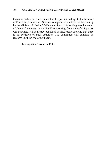Germans. When the time comes it will report its findings to the Minister of Education, Culture and Science. A separate committee has been set up by the Minister of Health, Welfare and Sport. It is looking into the matter of financial damages in the Far East resulting from unlawful Japanese war activities. It has already published its first report showing that there is no evidence of such activities. The committee will continue its research until the end of next year.

Leiden, 26th November 1998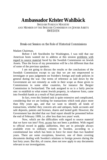# **Ambassador Krister Wahlbäck**

SWEDISH FOREIGN MINISTRY AND MEMBER OF THE SWEDISH COMMISSION ON JEWISH ASSETS SWEDEN

### Break-out Session on the Role of Historical Commissions

Madam Chairman,

Before I left Stockholm for Washington, I was told that our American hosts wanted me to address at this session problems with regard to source material faced by the Swedish Commission on Jewish Assets. Thus the focus of my presentation will be a bit different than that of some of the previous speakers.

I am not going to discuss the results or the conclusions of the Swedish Commission except to say that we are not empowered to investigate or pass judgement on Sweden's foreign and trade policies in general during the war. Our terms of reference as laid down by the Government are not remotely as wide in their scope as those given to Commissions in some other countries, for instance the Bergier Commission in Switzerland. The task assigned to us is a fairly precise one: to establish to what extent Jewish property, in whatever form, came into Swedish hands as a result of Nazi persecution.

In fact, even this limited task is quite extensive and complicated, considering that we are looking for transactions which took place more than fifty years ago, and that we want to identify all kinds of transactions, whether they concern arts and antiques, bank accounts and safe deposits, patents and licenses, shares and looted gold. However, the Government has decided that our final report should be presented before the end of February 1999, i.e. after less than two years' work.

Now, which are the difficulties with regard to source material that we have run into? First, access has not been a problem. With regard to official record in public authorities, they are in principle always available even to ordinary citizens in Sweden, according to a constitutional law which has been in force for more than two hundred years. There are some exceptions, however, one of them covering documents dealing with Sweden's relations to foreign powers during the last forty years. But this, of course, does not now apply to any documents relevant to our investigations.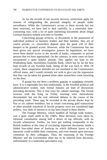As for the records of our security services, restrictions apply for reasons of safeguarding the personal integrity of people under surveillance. While the Commission's access to these records has not been restricted, we have had to deal carefully, in a somewhat timeconsuming way, with a lot of quite interesting documents about illegal German business-related activities in Sweden.

Concerning private archives, or documents in the possession of individual political or business leaders and their families, they are of course private, i.e. researchers depend upon the good will of their keepers to be granted access. However, while the Commission has not been given any special investigative powers by legislation, we have never been denied access to the records of banks, companies or private persons that we have approached. On the contrary, in most cases we have encountered a quite helpful attitude. This applies not least to the Wallenberg bank, Stockholms Enskilda Bank, which has by far the best kept records of any Swedish bank, dating all the way back to 1856. Of course, these cooperative attitudes are not unrelated to the Commission's official status, and I would certainly not wish to give you the impression that they can be taken for granted when other researchers come knocking on the door.

If access has not been a problem, paucity or scantiness certainly have. It is a regrettable fact that traditionally, in the Swedish political and administrative system, only formal minutes are kept of discussions preceding decisions. This is true even for cabinet meetings. The formal sessions with the King on Friday morning were meticulously documented, but not the real, informal debates in the course of the preceding week. These may be recorded in the private diaries kept by five or six cabinet members; but as issues concerning gold transactions or other possible transferal of Jewish property were not considered high politics, very little of interest to us has been found in these diaries.

The Foreign Ministry, which handled all foreign trade matters, was a quite small outfit in the 1940's. Most decisions were taken by informal consultation among half a dozen of top officials, with no records whatsoever. Further, we have got nothing comparable to the British tradition at this time of circulating important documents inside a folded four-sided sheet of foolscap on which different layers of the hierarchy could scribble their comments, and even remark upon previous comments by their colleagues. Thus, the reasoning of the Foreign Ministry and the Government often has to be inferred from decisions, unfortunately in a somewhat speculative way.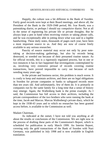Happily, the culture was a bit different in the Bank of Sweden. Fairly good records were kept at their Board meetings, and above all, the President of the Bank in the 1929-1948 period, Mr. Ivar Rooth, was a painstaking diarist, or perhaps I should say compulsive diarist. Not at all in the sense of registering his private life or private thoughts. But he always kept a pen in hand when receiving visitors or taking phone calls, and he was exceptionally able in jotting down what was said in a legible handwriting. These daily notes, thousands of pages each year, have been a most important source to us. And they are now of course freely available to any serious researcher.

Paucity of source material may occur not only by poor notetaking at decision-making gatherings, but also by records being destroyed, or weeded out because of their presumed routine nature. As for official records, this is a rigorously regulated process, but in one or two instances it has in fact happened that investigations contemplated by us, involving very extensive perusal of records covering routine transactions, have proved impossible to carry out because of such weeding many years ago.

In the private and business sector, this problem is much worse. It is costly to keep and maintain archives, and there are no legal obligations in Sweden for private companies or banks to safeguard records more than ten years old. And unfortunately, few of them do. It is primarily in companies run by the same family for a long time that a sense of history may emerge. Again, the Wallenberg bank is the prime example. As I said, the Commission has full access to their archives, including the private correspondence of the two brothers who were running the bank at the time, Jacob and Marcus. Marcus Wallenberg's private diary, which he kept in the 1938-43 years and to which no researcher has been granted access before, is available to the Commission as well.

#### Madam Chairman,

As indicated at the outset, I have not told you anything at all about the results or conclusions of the Commission. We are right now in the process of drafting these parts of the Commission's Report, which is scheduled for publication in early March 1999. An Interim Report, covering only the gold transactions of the Bank of Sweden with Nazi Germany, was published in July 1998 and is now available in English translation.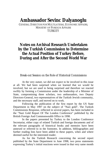## **Ambassador Sevinc Dalyanoglu**

GENERAL DIRECTOR FOR MULTILATERAL ECONOMIC AFFAIRS, MINISTRY OF FOREIGN AFFAIRS **TURKEY** 

## **Notes on Archival Research Undertaken by the Turkish Commission to Determine the Actual Position of Turkey Before, During and After the Second World War**

Break-out Session on the Role of Historical Commissions

At the very outset, we did not expect to be involved in this issue at all. We had been surprised when we learned that we would be involved, but we are used to being surprised and therefore we reacted swiftly by forming a Commission under the leadership of a Minister of State, compromising three scholars, two ambassadors, two Deputy Directors-General, two representatives of the Turkish Jewish community, and the necessary staff, and moved on to work.

Following the publication of the first report by the US State Department in May 1997 on the subject of "Nazi gold", The Turkish Commissions Response, reflected in several papers, has been included in the "Nazi Gold Report Of The London Conference" published by the British Foreign And Commonwealth Office in 1998.

In the papers presented by Turkey to the London Conference Secretariat, either copy of related Turkish and foreign documents and of the relevant paragraphs of historical books and memoirs have been annexed or referred to in the footnotes. In addition, bibliographies and further reading lists have been added to these papers, when and where deemed useful for the interested reader.

As for the Turkish Research concerning the second report published by the State Department in June 1998, two press statements expressing Turkey's initial reactions were issued in that very same month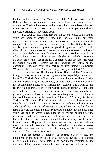by the head of commission, Minister of State Professor Sukru Gurel. Relevant Turkish documents were attached to these two press statements as annexes. Foreign documents on the same subjects were later submitted to Dr. William Slany, the Historian of the U.S. State Department, during his visit to Ankara in November 1998.

For such encompassing research on several topics of 50 and 60 years ago, some of which persisted until the late 1950s, our main objective was to be as scholarly and objective in our endeavors and to compile data from as many different sources as possible. Naturally books on history and memoirs of prominent political figures such as Roosevelt, Churchill and Inonu were of foremost importance as starting points of our research. References and footnotes in those books helped us locate other archival sources such as articles published in Turkish newspapers 55 years ago or the texts of the laws adopted by and speeches delivered the Grand National Assembly Of The Republic Of Turkey on the chromium issue. Our point of departure for this subject was Edward Weisband's book entitled "Turkish Foreign Policy (1943-1945)."

The archives of The Turkish Central Bank and The Ministry of foreign affairs were complementing each other especially on the gold issue. The Turkish Central Bank, which is well known for the perfection and the impeccability of its archives, provided the commission with all the documentation needed to finalize the research. The Archives and records on gold transactions of the Central Bank of Turkey are open and accessible to all interested parties for research. However, nobody had previously asked to look into them. We were happy to brief Dr. Slany on the Gold Transactions of the bank from 1934 to 1952 during his visit to Turkey in November 1998. Copies of all the related documents and records were handed to him. Laborious research carried out in the archives of the Ministry Of Foreign Affairs of Turkey yielded fruitful results as well, although the ministry moved to another location some ten years ago and its archives reminded in its former building for the preliminary archival research, a retired ambassador, who has served in the past as the Deputy Director General for the ministry's Archival and Communication Department, was commissioned for this task. After a month of through research, his file contained not only the necessary Turkish documents but also some allied notes, which were not present even in the first report of May 1997.

For prospective researchers, it became easier to find the documents in the ministry's archives as the pathways led us to explore other related matters. At a later stage documents compiled as the outcome of the dedicated archival research effort by Turkish missions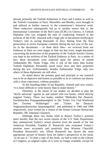abroad, primarily the Turkish Embassies in Paris and London as well as the Turkish Consulates in Paris, Marseilles and Rhodes, were brought in and utilized as further sources in the commission's historical work. These endeavors subsequently led us to another source that is, the International Committee of the Red Cross (ICRC) In Geneva. A Turkish Diplomat who was assigned the task of conducting research in the archives of the ICRC returned with a huge pile of documents testifying to Turkey's role in saving thousands of Jews fleeing from the Nazi persecution in severs European countries during the last year of the war. As to the documents -- or three thick files-- we received from our Embassy in Paris we were happy to find out that every single document concerning the protection of the properties of the Turkish Jewish Citizens was kept in the archives of the Turkish Embassy in Paris. As a matter of fact, these documents were explored upon the advice of retired Ambassador Mr. Name Yolga, who is one of the more than twenty Turkish Diplomats Personally saved many Jews and their properties during the war. Unfortunately, besides Ambassador Yolga, only two others of those diplomatic are still alive.

As stated above the primary goal and principle in our research was to be as objective and honest as possible so as to confront our history with a clean conscience, without prejudice.

As the founding father of our Republic, Ataturk said very wisely: "it is more difficult to write history than to make history."

Therefore, at the outset of our studies we decided to play the "devils advocate" against us and started with two books, which directly targeted Turkey. These two books, entitled "Methoden Der Deutsch-Faschistischen Propagandataetigkeit in Der Turkei Vor Und Waehrend Des Zweiten Weltkrieges" and "Turkei Im Deutsch-Angloamerikanischen Spannungsfeld," and published in 1966 and 1968 respectively, were written by a citizen of the former German Democratic Republic, Mr. Johannes Glasneck.

Although these two books tried to dissect Turkey's position more harshly than the two recent reports of the U.S. State Department, they summarized Turkey's actual position from the mouth of the late American President, Franklin D. Roosevelt who evaluated Turkey's position more accurately and positively than Winston Churchill. President Roosevelt's son, Elliott Roosevelt has drawn the most appropriate picture of history from his father's perspective in his book, "as he saw it." To find a copy of this book, we had to refer to the Library of Congress, as original copies of it were no longer available, except for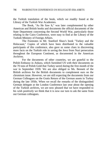the Turkish translation of the book, which we readily found at the Library of the Turkish War Academies.

The Book, "As He Saw It," was later complemented by other American and British books and documents the official documents of the State Department concerning the Second World War, particularly those relating to the Cairo Conference, were easy to find at the Library of the Turkish Ministry of Foreign Affairs.

The Footnotes in Mr. Stanford Shaw's book "Turkey and the Holocaust," Copies of which have been distributed to the valuable participants of this conference, also gave us some clues in discovering more facts on the Turkish role in saving the Jews from Nazi persecution throughout the European Continent, as documented in the American Archives.

For the documents of other countries, we are grateful to the Polish Embassy in Ankara, which furnished US with their documents on the 70 tons of Polish Gold that Turkey saved during the first month of the war in September 1939. We are also obliged to Ms. Bennett of the British archives for the British documents to complement ours on the chromium issue. However, we are still expecting the documents from our German Colleagues on the Gratis Return of the German assets in Turkey during the late 1950s. When we recall the remarks of the distinguished German delegate at the London Conference last year about the opening of the Turkish archives, we are now pleased that we have responded to his wish positively we think that it is now our turn to ask the same from our German colleagues.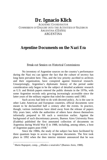# **Dr. Ignacio Klich**

ACADEMIC COORDINATOR COMMISSION OF ENQUIRY INTO THE ACTIVITIES OF NAZISM IN ARGENTINA (CEANA) ARGENTINA

### **Argentine Documents on the Nazi Era**

Break-out Session on Historical Commissions

No inventory of Argentine sources on the country's performance during the Nazi era can ignore the fact that the culture of secrecy has long been prevalent here. This, and the low priority ascribed to archives and their organization, have conspired against historical research. Unsurprisingly, Argentina's diplomatic history of the period under consideration only began to be the subject of detailed academic research as U.S. and British papers entered the public domain in the 1970s, with some Argentine records only growing increasingly accessible since the latter years of the military regime that ruled the country until 1983.

Such access had little to do with decreed policy. As is the case in other Latin American and European countries, official documents were meant to be declassified half a century after the events. In practice, though, various institutions have shied away from the release of papers fifty years later, while the authorities of others have shown themselves informally prepared to lift such a restriction earlier. Against the background of such discretionary powers, Buenos Aires University Press (Eudeba) published the first annotated collection of documents on Argentina during World War II in 1988, including, among others, a host of Argentine papers post-1938. $<sup>1</sup>$ </sup>

Since the 1980s, the study of the subject has been facilitated by three quantum leaps in access to Argentine documents. The first took place in 1992 when the then interior minister announced that he was

 1 Mario Rapoport, comp., *¿Allados o neutrales?* (Buenos Aires, 1988).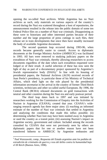opening the so-called Nazi archives. While Argentina has no Nazi archives as such, only materials on various aspects of the country's record during the Nazi era scattered throughout a host of repositories, the announcement resulted in the release into the public domain of some ten Federal Police files on a number of Nazi war criminals. Disappointing as these were to historians and other interested parties because of their number and the large proportion of press cuttings in such files, their release set in train developments that since then have steadily increased the body of available Argentine documents.

The second quantum leap occurred during 1993-96, when records became generally easier to consult. Access to diplomatic documents at the Foreign Ministry Archive (AMRECIC) was facilitated in 1993. All bars were removed to studying judiciary papers on the extradition of Nazi war criminals, thereby allowing researchers to access documents regardless of the date when such extradition requested were lodged or of their result. A useful selection of these has now seen the light of day as part of a documentary project sponsored by Argentina's Jewish representative body  $(DAIA)^2$  In line with its housing of presidential papers, the National Archives (AGN) received records of Juan Perón's presidency, in particular those of his Ministry of Technical Affairs, which shed light on the role played by the presidential information secretariat in the arrival in the country of former Third Reich scientists, technicians and other so-called useful Europeans. By 1996, the Central Bank (BCRA) released documents on gold transactions with neutral and other countries during the Nazi era and early postwar period.

The third leap dates back to 1997 and was initiated by researchers working for the Commission of Enquiry into the Activities of Nazism in Argentina (CEANA), created that year. CEANA's wideranging research agenda has three major aims: (i) reaching an informed estimate of the number of Nazi war criminals that settled in Argentina and analyzing the conditions that made this influx possible; (ii) determining whether Nazi loot may have been stashed away in Argentina or used the country as a transit point; (iii) assessing Nazism's impact on Argentine society, government and culture. Included among the records consulted by CEANA that were not previously seen by others are diplomatic papers that for one or another reason have not been transferred hitherto to AMRECIC by Argentine embassies and

 2 Paul Warszawski, comp., *Respuesta del Estado argentino ante los pedidos de extradición de criminales de guerra y reos del delito contra la humanidad bajo el III Reich* (Buenos Aires, 1998).